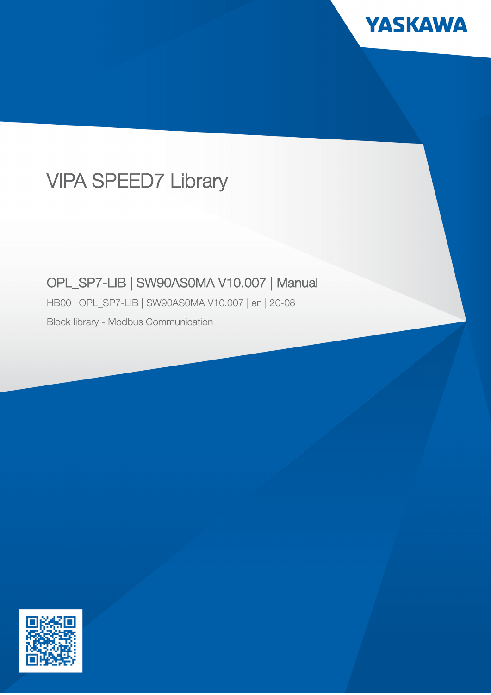

# VIPA SPEED7 Library

## OPL\_SP7-LIB | SW90AS0MA V10.007 | Manual

HB00 | OPL\_SP7-LIB | SW90AS0MA V10.007 | en | 20-08

Block library - Modbus Communication

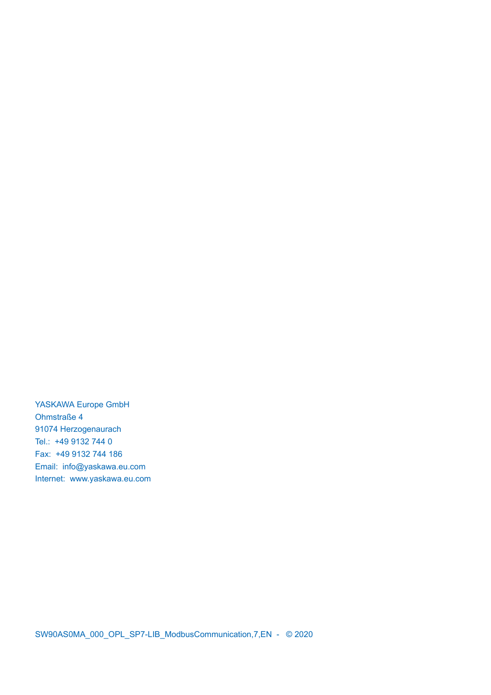YASKAWA Europe GmbH Ohmstraße 4 91074 Herzogenaurach Tel.: +49 9132 744 0 Fax: +49 9132 744 186 Email: info@yaskawa.eu.com Internet: www.yaskawa.eu.com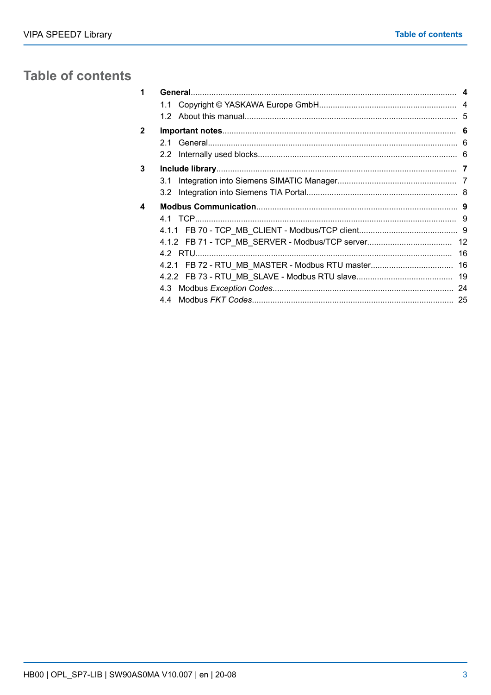## **Table of contents**

| 1 |     |  |
|---|-----|--|
|   | 1.1 |  |
|   |     |  |
| 2 |     |  |
|   | 21  |  |
|   |     |  |
| 3 |     |  |
|   | 3.1 |  |
|   | 3.2 |  |
| 4 |     |  |
|   |     |  |
|   |     |  |
|   |     |  |
|   |     |  |
|   |     |  |
|   |     |  |
|   |     |  |
|   | 44  |  |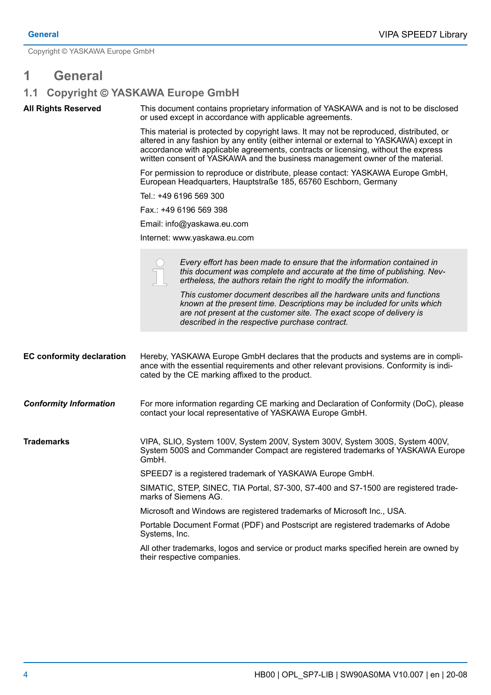<span id="page-3-0"></span>Copyright © YASKAWA Europe GmbH

## **1 General**

## **1.1 Copyright** © **YASKAWA Europe GmbH**

**All Rights Reserved**

This document contains proprietary information of YASKAWA and is not to be disclosed or used except in accordance with applicable agreements.

This material is protected by copyright laws. It may not be reproduced, distributed, or altered in any fashion by any entity (either internal or external to YASKAWA) except in accordance with applicable agreements, contracts or licensing, without the express written consent of YASKAWA and the business management owner of the material.

For permission to reproduce or distribute, please contact: YASKAWA Europe GmbH, European Headquarters, Hauptstraße 185, 65760 Eschborn, Germany

Tel.: +49 6196 569 300

Fax.: +49 6196 569 398

Email: info@yaskawa.eu.com

Internet: www.yaskawa.eu.com

|                                  | Every effort has been made to ensure that the information contained in<br>this document was complete and accurate at the time of publishing. Nev-<br>ertheless, the authors retain the right to modify the information.<br>This customer document describes all the hardware units and functions<br>known at the present time. Descriptions may be included for units which<br>are not present at the customer site. The exact scope of delivery is<br>described in the respective purchase contract. |  |  |  |
|----------------------------------|-------------------------------------------------------------------------------------------------------------------------------------------------------------------------------------------------------------------------------------------------------------------------------------------------------------------------------------------------------------------------------------------------------------------------------------------------------------------------------------------------------|--|--|--|
| <b>EC conformity declaration</b> | Hereby, YASKAWA Europe GmbH declares that the products and systems are in compli-<br>ance with the essential requirements and other relevant provisions. Conformity is indi-<br>cated by the CE marking affixed to the product.                                                                                                                                                                                                                                                                       |  |  |  |
| <b>Conformity Information</b>    | For more information regarding CE marking and Declaration of Conformity (DoC), please<br>contact your local representative of YASKAWA Europe GmbH.                                                                                                                                                                                                                                                                                                                                                    |  |  |  |
| <b>Trademarks</b>                | VIPA, SLIO, System 100V, System 200V, System 300V, System 300S, System 400V,<br>System 500S and Commander Compact are registered trademarks of YASKAWA Europe<br>GmbH.                                                                                                                                                                                                                                                                                                                                |  |  |  |
|                                  | SPEED7 is a registered trademark of YASKAWA Europe GmbH.                                                                                                                                                                                                                                                                                                                                                                                                                                              |  |  |  |
|                                  | SIMATIC, STEP, SINEC, TIA Portal, S7-300, S7-400 and S7-1500 are registered trade-<br>marks of Siemens AG.                                                                                                                                                                                                                                                                                                                                                                                            |  |  |  |
|                                  | Microsoft and Windows are registered trademarks of Microsoft Inc., USA.                                                                                                                                                                                                                                                                                                                                                                                                                               |  |  |  |
|                                  | Portable Document Format (PDF) and Postscript are registered trademarks of Adobe<br>Systems, Inc.                                                                                                                                                                                                                                                                                                                                                                                                     |  |  |  |
|                                  | All other trademarks, logos and service or product marks specified herein are owned by<br>their respective companies.                                                                                                                                                                                                                                                                                                                                                                                 |  |  |  |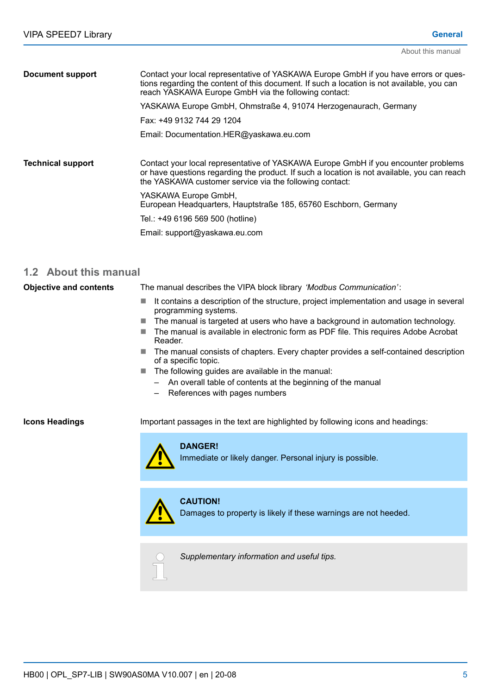<span id="page-4-0"></span>

| <b>Document support</b>  | Contact your local representative of YASKAWA Europe GmbH if you have errors or ques-<br>tions regarding the content of this document. If such a location is not available, you can<br>reach YASKAWA Europe GmbH via the following contact:   |  |  |  |  |
|--------------------------|----------------------------------------------------------------------------------------------------------------------------------------------------------------------------------------------------------------------------------------------|--|--|--|--|
|                          | YASKAWA Europe GmbH, Ohmstraße 4, 91074 Herzogenaurach, Germany                                                                                                                                                                              |  |  |  |  |
|                          | Fax: +49 9132 744 29 1204                                                                                                                                                                                                                    |  |  |  |  |
|                          | Email: Documentation.HER@yaskawa.eu.com                                                                                                                                                                                                      |  |  |  |  |
| <b>Technical support</b> | Contact your local representative of YASKAWA Europe GmbH if you encounter problems<br>or have questions regarding the product. If such a location is not available, you can reach<br>the YASKAWA customer service via the following contact: |  |  |  |  |
|                          | YASKAWA Europe GmbH,<br>European Headquarters, Hauptstraße 185, 65760 Eschborn, Germany                                                                                                                                                      |  |  |  |  |
|                          | Tel.: +49 6196 569 500 (hotline)                                                                                                                                                                                                             |  |  |  |  |
|                          | Email: support@yaskawa.eu.com                                                                                                                                                                                                                |  |  |  |  |

### **1.2 About this manual**

The manual describes the VIPA block library *'Modbus Communication'*: **Objective and contents**

- $\blacksquare$  It contains a description of the structure, project implementation and usage in several programming systems.
- $\blacksquare$  The manual is targeted at users who have a background in automation technology.
- $\blacksquare$  The manual is available in electronic form as PDF file. This requires Adobe Acrobat Reader.
- $\blacksquare$  The manual consists of chapters. Every chapter provides a self-contained description of a specific topic.
- $\blacksquare$  The following guides are available in the manual:
	- An overall table of contents at the beginning of the manual
	- References with pages numbers

#### **Icons Headings**

Important passages in the text are highlighted by following icons and headings:



Immediate or likely danger. Personal injury is possible.



**CAUTION!** Damages to property is likely if these warnings are not heeded.



*Supplementary information and useful tips.*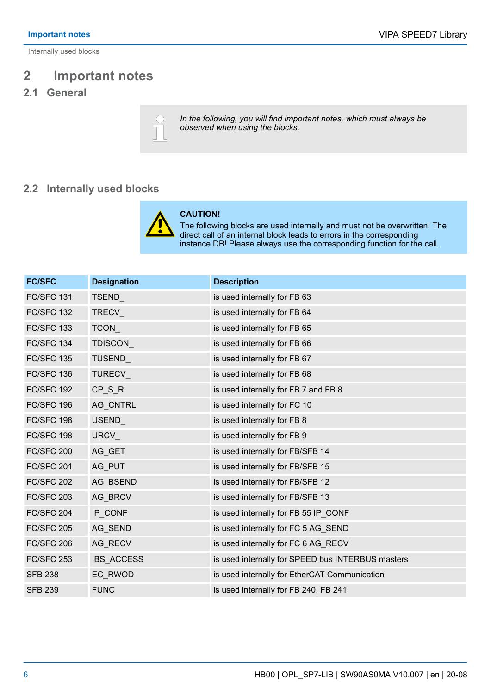<span id="page-5-0"></span>Internally used blocks

## **2 Important notes**

## **2.1 General**



*In the following, you will find important notes, which must always be observed when using the blocks.*

## **2.2 Internally used blocks**



#### **CAUTION!**

The following blocks are used internally and must not be overwritten! The direct call of an internal block leads to errors in the corresponding instance DB! Please always use the corresponding function for the call.

| <b>FC/SFC</b>     | <b>Designation</b> | <b>Description</b>                                |
|-------------------|--------------------|---------------------------------------------------|
| <b>FC/SFC 131</b> | TSEND_             | is used internally for FB 63                      |
| <b>FC/SFC 132</b> | TRECV_             | is used internally for FB 64                      |
| <b>FC/SFC 133</b> | TCON_              | is used internally for FB 65                      |
| <b>FC/SFC 134</b> | <b>TDISCON</b>     | is used internally for FB 66                      |
| <b>FC/SFC 135</b> | TUSEND_            | is used internally for FB 67                      |
| <b>FC/SFC 136</b> | TURECV_            | is used internally for FB 68                      |
| <b>FC/SFC 192</b> | $CP_S_R$           | is used internally for FB 7 and FB 8              |
| FC/SFC 196        | AG_CNTRL           | is used internally for FC 10                      |
| FC/SFC 198        | <b>USEND</b>       | is used internally for FB 8                       |
| FC/SFC 198        | URCV_              | is used internally for FB 9                       |
| <b>FC/SFC 200</b> | AG_GET             | is used internally for FB/SFB 14                  |
| <b>FC/SFC 201</b> | AG_PUT             | is used internally for FB/SFB 15                  |
| <b>FC/SFC 202</b> | AG BSEND           | is used internally for FB/SFB 12                  |
| <b>FC/SFC 203</b> | AG_BRCV            | is used internally for FB/SFB 13                  |
| <b>FC/SFC 204</b> | IP_CONF            | is used internally for FB 55 IP_CONF              |
| <b>FC/SFC 205</b> | AG_SEND            | is used internally for FC 5 AG_SEND               |
| <b>FC/SFC 206</b> | AG_RECV            | is used internally for FC 6 AG_RECV               |
| <b>FC/SFC 253</b> | <b>IBS ACCESS</b>  | is used internally for SPEED bus INTERBUS masters |
| <b>SFB 238</b>    | EC_RWOD            | is used internally for EtherCAT Communication     |
| <b>SFB 239</b>    | <b>FUNC</b>        | is used internally for FB 240, FB 241             |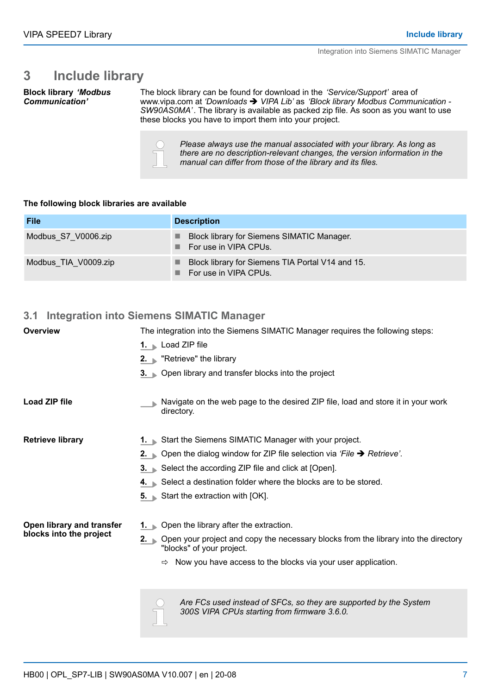Integration into Siemens SIMATIC Manager

## <span id="page-6-0"></span>**3 Include library**

**Block library** *'Modbus Communication'*

The block library can be found for download in the *'Service/Support'* area of www.vipa.com at 'Downloads  $\rightarrow$  VIPA Lib' as 'Block library Modbus Communication -*SW90AS0MA'*. The library is available as packed zip file. As soon as you want to use these blocks you have to import them into your project.



*Please always use the manual associated with your library. As long as there are no description-relevant changes, the version information in the manual can differ from those of the library and its files.*

#### **The following block libraries are available**

| <b>File</b>          | <b>Description</b>                                                                 |
|----------------------|------------------------------------------------------------------------------------|
| Modbus S7 V0006.zip  | Block library for Siemens SIMATIC Manager.<br>$\blacksquare$ For use in VIPA CPUs. |
| Modbus TIA V0009.zip | Block library for Siemens TIA Portal V14 and 15.<br>For use in VIPA CPUs.          |

### **3.1 Integration into Siemens SIMATIC Manager**

| <b>Overview</b>           | The integration into the Siemens SIMATIC Manager requires the following steps:                                                              |  |  |  |  |  |
|---------------------------|---------------------------------------------------------------------------------------------------------------------------------------------|--|--|--|--|--|
|                           | 1. Load ZIP file                                                                                                                            |  |  |  |  |  |
|                           | 2. $\blacktriangleright$ "Retrieve" the library                                                                                             |  |  |  |  |  |
|                           | 3. Open library and transfer blocks into the project                                                                                        |  |  |  |  |  |
| Load ZIP file             | Navigate on the web page to the desired ZIP file, load and store it in your work<br>directory.                                              |  |  |  |  |  |
| <b>Retrieve library</b>   | 1. Start the Siemens SIMATIC Manager with your project.                                                                                     |  |  |  |  |  |
|                           | 2. Open the dialog window for ZIP file selection via 'File $\rightarrow$ Retrieve'.                                                         |  |  |  |  |  |
|                           | 3. Select the according ZIP file and click at [Open].                                                                                       |  |  |  |  |  |
|                           | 4. Select a destination folder where the blocks are to be stored.                                                                           |  |  |  |  |  |
|                           | 5. Start the extraction with [OK].                                                                                                          |  |  |  |  |  |
| Open library and transfer | <b>1.</b> Open the library after the extraction.                                                                                            |  |  |  |  |  |
| blocks into the project   | Open your project and copy the necessary blocks from the library into the directory<br>$2. \quad \blacksquare$<br>"blocks" of your project. |  |  |  |  |  |
|                           | $\Rightarrow$ Now you have access to the blocks via your user application.                                                                  |  |  |  |  |  |
|                           | Are FCs used instead of SFCs, so they are supported by the System<br>300S VIPA CPUs starting from firmware 3.6.0.                           |  |  |  |  |  |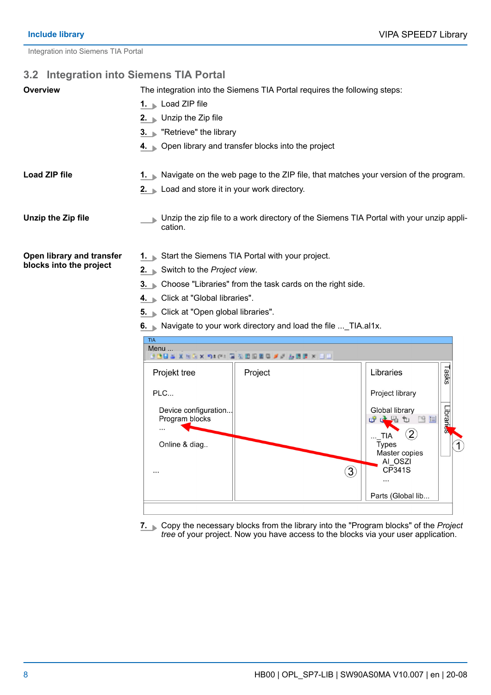Librar

Global library

TIA<br>Types

 $\ddotsc$ 

 $\circled{3}$ 

的之名如 医目

Master copies AI OSZI

CP341S

Parts (Global lib...

 $\circled{2}$ 

<span id="page-7-0"></span>Integration into Siemens TIA Portal

## **3.2 Integration into Siemens TIA Portal**

| <b>Overview</b>           | The integration into the Siemens TIA Portal requires the following steps:                          |                                                                                               |                    |  |  |  |  |  |
|---------------------------|----------------------------------------------------------------------------------------------------|-----------------------------------------------------------------------------------------------|--------------------|--|--|--|--|--|
|                           | 1. Load ZIP file                                                                                   |                                                                                               |                    |  |  |  |  |  |
|                           | 2. Unzip the Zip file                                                                              |                                                                                               |                    |  |  |  |  |  |
|                           |                                                                                                    | 3. "Retrieve" the library                                                                     |                    |  |  |  |  |  |
|                           |                                                                                                    | 4. Open library and transfer blocks into the project                                          |                    |  |  |  |  |  |
| <b>Load ZIP file</b>      |                                                                                                    | <b>1.</b> Navigate on the web page to the ZIP file, that matches your version of the program. |                    |  |  |  |  |  |
|                           | 2. Load and store it in your work directory.                                                       |                                                                                               |                    |  |  |  |  |  |
| Unzip the Zip file        | Unzip the zip file to a work directory of the Siemens TIA Portal with your unzip appli-<br>cation. |                                                                                               |                    |  |  |  |  |  |
| Open library and transfer | Start the Siemens TIA Portal with your project.                                                    |                                                                                               |                    |  |  |  |  |  |
| blocks into the project   | 2. Switch to the Project view.                                                                     |                                                                                               |                    |  |  |  |  |  |
|                           | 3. Choose "Libraries" from the task cards on the right side.                                       |                                                                                               |                    |  |  |  |  |  |
|                           | Click at "Global libraries".<br>$4. \blacksquare$                                                  |                                                                                               |                    |  |  |  |  |  |
|                           | 5. Click at "Open global libraries".                                                               |                                                                                               |                    |  |  |  |  |  |
|                           | 6. Navigate to your work directory and load the file  TIA.al1x.                                    |                                                                                               |                    |  |  |  |  |  |
|                           | <b>TIA</b><br>Menu<br>つ*で: 国 公団田園県 メール田園 × 日田                                                      |                                                                                               |                    |  |  |  |  |  |
|                           | Projekt tree                                                                                       | Project                                                                                       | Tasks<br>Libraries |  |  |  |  |  |
|                           | PLC                                                                                                |                                                                                               | Project library    |  |  |  |  |  |

Device configuration...

Program blocks

Online & diag..

 $\ddotsc$ 

 $\ldots$ 

**7.** Copy the necessary blocks from the library into the "Program blocks" of the *Project tree* of your project. Now you have access to the blocks via your user application.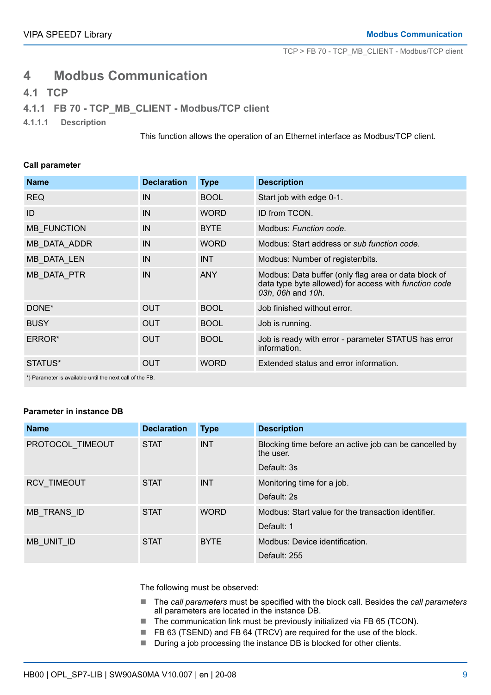TCP > FB 70 - TCP\_MB\_CLIENT - Modbus/TCP client

## <span id="page-8-0"></span>**4 Modbus Communication**

### **4.1 TCP**

### **4.1.1 FB 70 - TCP\_MB\_CLIENT - Modbus/TCP client**

**4.1.1.1 Description**

This function allows the operation of an Ethernet interface as Modbus/TCP client.

#### **Call parameter**

| <b>Name</b>                                             | <b>Declaration</b> | <b>Type</b> | <b>Description</b>                                                                                                                 |  |  |
|---------------------------------------------------------|--------------------|-------------|------------------------------------------------------------------------------------------------------------------------------------|--|--|
| <b>REQ</b>                                              | IN                 | <b>BOOL</b> | Start job with edge 0-1.                                                                                                           |  |  |
| ID                                                      | IN                 | <b>WORD</b> | ID from TCON.                                                                                                                      |  |  |
| <b>MB FUNCTION</b>                                      | IN                 | <b>BYTE</b> | Modbus: Function code.                                                                                                             |  |  |
| MB_DATA_ADDR                                            | IN                 | <b>WORD</b> | Modbus: Start address or sub function code.                                                                                        |  |  |
| MB DATA LEN                                             | IN                 | <b>INT</b>  | Modbus: Number of register/bits.                                                                                                   |  |  |
| MB_DATA_PTR                                             | IN                 | <b>ANY</b>  | Modbus: Data buffer (only flag area or data block of<br>data type byte allowed) for access with function code<br>03h, 06h and 10h. |  |  |
| DONE*                                                   | <b>OUT</b>         | <b>BOOL</b> | Job finished without error.                                                                                                        |  |  |
| <b>BUSY</b>                                             | <b>OUT</b>         | <b>BOOL</b> | Job is running.                                                                                                                    |  |  |
| ERROR*                                                  | <b>OUT</b>         | <b>BOOL</b> | Job is ready with error - parameter STATUS has error<br>information.                                                               |  |  |
| STATUS*                                                 | <b>OUT</b>         | <b>WORD</b> | Extended status and error information.                                                                                             |  |  |
| *) Desemptes in cupilable until the next call of the FD |                    |             |                                                                                                                                    |  |  |

) Parameter is available until the next call of the FB.

#### **Parameter in instance DB**

| <b>Name</b>        | <b>Declaration</b> | <b>Type</b> | <b>Description</b>                                                  |
|--------------------|--------------------|-------------|---------------------------------------------------------------------|
| PROTOCOL TIMEOUT   | <b>STAT</b>        | <b>INT</b>  | Blocking time before an active job can be cancelled by<br>the user. |
|                    |                    |             | Default: 3s                                                         |
| <b>RCV TIMEOUT</b> | <b>STAT</b>        | <b>INT</b>  | Monitoring time for a job.                                          |
|                    |                    |             | Default: 2s                                                         |
| MB TRANS ID        | <b>STAT</b>        | <b>WORD</b> | Modbus: Start value for the transaction identifier.                 |
|                    |                    |             | Default: 1                                                          |
| MB UNIT ID         | <b>STAT</b>        | <b>BYTE</b> | Modbus: Device identification.                                      |
|                    |                    |             | Default: 255                                                        |

The following must be observed:

- The *call parameters* must be specified with the block call. Besides the *call parameters* all parameters are located in the instance DB.
- $\blacksquare$  The communication link must be previously initialized via FB 65 (TCON).
- FB 63 (TSEND) and FB 64 (TRCV) are required for the use of the block.
- During a job processing the instance DB is blocked for other clients.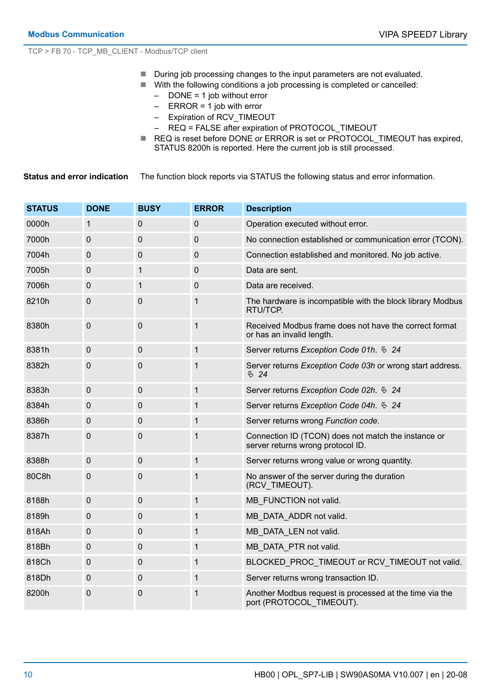TCP > FB 70 - TCP\_MB\_CLIENT - Modbus/TCP client

- During job processing changes to the input parameters are not evaluated.
- With the following conditions a job processing is completed or cancelled:
	- DONE = 1 job without error
	- $-$  ERROR = 1 job with error
	- Expiration of RCV\_TIMEOUT
	- REQ = FALSE after expiration of PROTOCOL\_TIMEOUT
- REQ is reset before DONE or ERROR is set or PROTOCOL\_TIMEOUT has expired, STATUS 8200h is reported. Here the current job is still processed.

The function block reports via STATUS the following status and error information. **Status and error indication**

| <b>STATUS</b> | <b>DONE</b> | <b>BUSY</b> | <b>ERROR</b> | <b>Description</b>                                                                       |
|---------------|-------------|-------------|--------------|------------------------------------------------------------------------------------------|
| 0000h         | 1           | $\mathbf 0$ | 0            | Operation executed without error.                                                        |
| 7000h         | 0           | $\mathbf 0$ | $\mathbf 0$  | No connection established or communication error (TCON).                                 |
| 7004h         | 0           | $\mathbf 0$ | 0            | Connection established and monitored. No job active.                                     |
| 7005h         | $\mathbf 0$ | 1           | 0            | Data are sent.                                                                           |
| 7006h         | 0           | 1           | $\pmb{0}$    | Data are received.                                                                       |
| 8210h         | 0           | $\mathbf 0$ | 1            | The hardware is incompatible with the block library Modbus<br>RTU/TCP.                   |
| 8380h         | $\mathbf 0$ | $\mathbf 0$ | $\mathbf{1}$ | Received Modbus frame does not have the correct format<br>or has an invalid length.      |
| 8381h         | $\pmb{0}$   | $\mathbf 0$ | $\mathbf 1$  | Server returns Exception Code 01h. $624$                                                 |
| 8382h         | 0           | 0           | 1            | Server returns Exception Code 03h or wrong start address.<br>$\frac{\infty}{24}$         |
| 8383h         | $\pmb{0}$   | $\mathbf 0$ | 1            | Server returns Exception Code 02h. $624$                                                 |
| 8384h         | 0           | $\mathbf 0$ | $\mathbf{1}$ | Server returns Exception Code 04h. $624$                                                 |
| 8386h         | 0           | $\mathbf 0$ | $\mathbf{1}$ | Server returns wrong Function code.                                                      |
| 8387h         | 0           | $\mathbf 0$ | 1            | Connection ID (TCON) does not match the instance or<br>server returns wrong protocol ID. |
| 8388h         | $\mathbf 0$ | $\mathbf 0$ | $\mathbf{1}$ | Server returns wrong value or wrong quantity.                                            |
| 80C8h         | 0           | $\mathbf 0$ | 1            | No answer of the server during the duration<br>(RCV_TIMEOUT).                            |
| 8188h         | $\mathbf 0$ | $\mathbf 0$ | $\mathbf{1}$ | MB FUNCTION not valid.                                                                   |
| 8189h         | 0           | $\mathbf 0$ | 1            | MB_DATA_ADDR not valid.                                                                  |
| 818Ah         | $\pmb{0}$   | $\mathbf 0$ | $\mathbf{1}$ | MB DATA LEN not valid.                                                                   |
| 818Bh         | $\pmb{0}$   | $\mathbf 0$ | $\mathbf{1}$ | MB DATA PTR not valid.                                                                   |
| 818Ch         | 0           | $\mathbf 0$ | $\mathbf 1$  | BLOCKED_PROC_TIMEOUT or RCV_TIMEOUT not valid.                                           |
| 818Dh         | 0           | $\mathbf 0$ | 1            | Server returns wrong transaction ID.                                                     |
| 8200h         | 0           | $\mathbf 0$ | 1            | Another Modbus request is processed at the time via the<br>port (PROTOCOL TIMEOUT).      |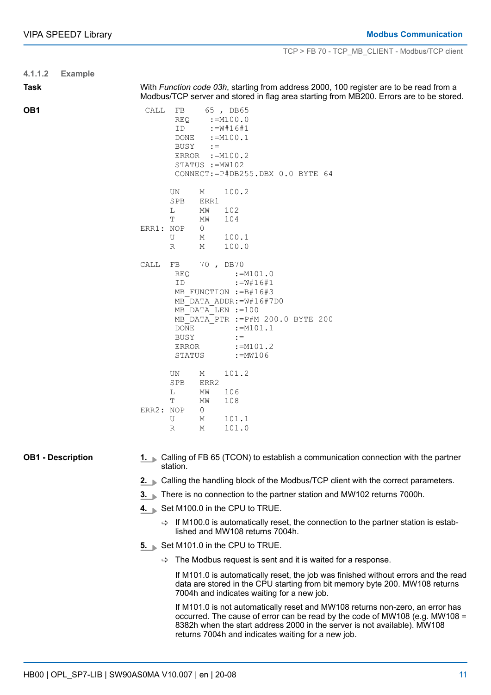| 4.1.1.2                  | <b>Example</b> |                                                                                                                                                                                                                                                                                                |  |  |  |  |
|--------------------------|----------------|------------------------------------------------------------------------------------------------------------------------------------------------------------------------------------------------------------------------------------------------------------------------------------------------|--|--|--|--|
| <b>Task</b>              |                | With Function code 03h, starting from address 2000, 100 register are to be read from a<br>Modbus/TCP server and stored in flag area starting from MB200. Errors are to be stored.                                                                                                              |  |  |  |  |
| OB1                      |                | CALL<br>FB<br>65, DB65<br>REQ<br>$:=M100.0$<br>$:=w#16#1$<br>ID<br>DONE<br>$:=M100.1$<br>BUSY<br>$: =$<br>ERROR := M100.2<br>STATUS := MW102<br>CONNECT: = P#DB255.DBX 0.0 BYTE 64                                                                                                             |  |  |  |  |
|                          |                | UN<br>100.2<br>М<br>SPB<br>ERR1<br>L<br>102<br>ΜW                                                                                                                                                                                                                                              |  |  |  |  |
|                          |                | Т<br>104<br>ΜW<br>ERR1: NOP<br>0<br>100.1<br>U<br>М<br>100.0<br>R<br>М                                                                                                                                                                                                                         |  |  |  |  |
|                          |                | 70, DB70<br>CALL<br>FB<br><b>REQ</b><br>$:=M101.0$<br>ID<br>$:=\nabla * 16 + 1$<br>MB FUNCTION := B#16#3<br>MB DATA ADDR: = W#16#7D0<br>MB DATA LEN := 100<br>MB DATA PTR := P#M 200.0 BYTE 200<br><b>DONE</b><br>$:=M101.1$<br>BUSY<br>$: =$<br>ERROR<br>$:=M101.2$<br>$:=$ MW106<br>STATUS   |  |  |  |  |
|                          |                | 101.2<br>UN.<br>М<br>SPB<br>ERR2<br>L<br>106<br>ΜW<br>T<br>ΜW<br>108<br>ERR2: NOP<br>0<br>101.1<br>U<br>М<br>101.0<br>R<br>М                                                                                                                                                                   |  |  |  |  |
| <b>OB1 - Description</b> |                | 1. Calling of FB 65 (TCON) to establish a communication connection with the partner<br>station.                                                                                                                                                                                                |  |  |  |  |
|                          |                | 2. Calling the handling block of the Modbus/TCP client with the correct parameters.                                                                                                                                                                                                            |  |  |  |  |
|                          |                | 3. ■ There is no connection to the partner station and MW102 returns 7000h.                                                                                                                                                                                                                    |  |  |  |  |
|                          |                | 4. Set M100.0 in the CPU to TRUE.                                                                                                                                                                                                                                                              |  |  |  |  |
|                          |                | $\Rightarrow$ If M100.0 is automatically reset, the connection to the partner station is estab-<br>lished and MW108 returns 7004h.                                                                                                                                                             |  |  |  |  |
|                          |                | 5. Set M101.0 in the CPU to TRUE.                                                                                                                                                                                                                                                              |  |  |  |  |
|                          |                | The Modbus request is sent and it is waited for a response.<br>⇨                                                                                                                                                                                                                               |  |  |  |  |
|                          |                | If M101.0 is automatically reset, the job was finished without errors and the read<br>data are stored in the CPU starting from bit memory byte 200. MW108 returns<br>7004h and indicates waiting for a new job.                                                                                |  |  |  |  |
|                          |                | If M101.0 is not automatically reset and MW108 returns non-zero, an error has<br>occurred. The cause of error can be read by the code of MW108 (e.g. MW108 =<br>8382h when the start address 2000 in the server is not available). MW108<br>returns 7004h and indicates waiting for a new job. |  |  |  |  |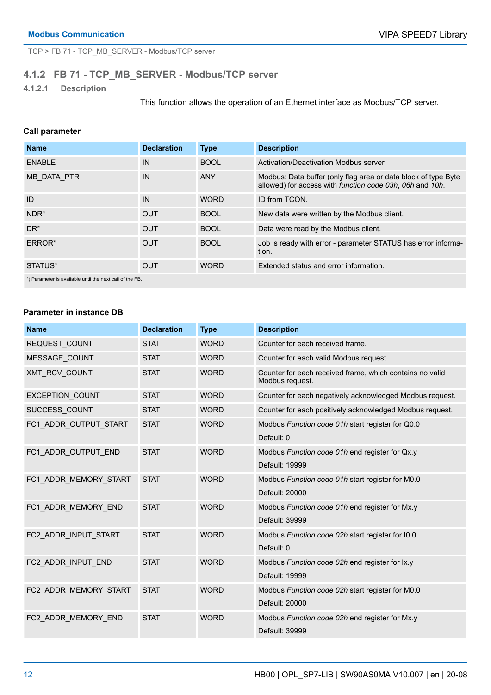<span id="page-11-0"></span>TCP > FB 71 - TCP\_MB\_SERVER - Modbus/TCP server

### **4.1.2 FB 71 - TCP\_MB\_SERVER - Modbus/TCP server**

**4.1.2.1 Description**

This function allows the operation of an Ethernet interface as Modbus/TCP server.

#### **Call parameter**

| <b>Name</b>                                              | <b>Declaration</b> | <b>Type</b> | <b>Description</b>                                                                                                         |  |
|----------------------------------------------------------|--------------------|-------------|----------------------------------------------------------------------------------------------------------------------------|--|
| <b>ENABLE</b>                                            | IN                 | <b>BOOL</b> | Activation/Deactivation Modbus server.                                                                                     |  |
| MB DATA PTR                                              | IN                 | <b>ANY</b>  | Modbus: Data buffer (only flag area or data block of type Byte<br>allowed) for access with function code 03h, 06h and 10h. |  |
| ID                                                       | IN                 | <b>WORD</b> | ID from TCON.                                                                                                              |  |
| NDR <sup>*</sup>                                         | <b>OUT</b>         | <b>BOOL</b> | New data were written by the Modbus client.                                                                                |  |
| $DR^*$                                                   | <b>OUT</b>         | <b>BOOL</b> | Data were read by the Modbus client.                                                                                       |  |
| ERROR*                                                   | <b>OUT</b>         | <b>BOOL</b> | Job is ready with error - parameter STATUS has error informa-<br>tion.                                                     |  |
| STATUS*                                                  | <b>OUT</b>         | <b>WORD</b> | Extended status and error information.                                                                                     |  |
| *) Parameter is available until the next call of the FB. |                    |             |                                                                                                                            |  |

#### **Parameter in instance DB**

| <b>Name</b>            | <b>Declaration</b> | <b>Type</b> | <b>Description</b>                                                          |
|------------------------|--------------------|-------------|-----------------------------------------------------------------------------|
| REQUEST COUNT          | <b>STAT</b>        | <b>WORD</b> | Counter for each received frame.                                            |
| <b>MESSAGE COUNT</b>   | <b>STAT</b>        | <b>WORD</b> | Counter for each valid Modbus request.                                      |
| XMT RCV COUNT          | <b>STAT</b>        | <b>WORD</b> | Counter for each received frame, which contains no valid<br>Modbus request. |
| <b>EXCEPTION COUNT</b> | <b>STAT</b>        | <b>WORD</b> | Counter for each negatively acknowledged Modbus request.                    |
| SUCCESS COUNT          | <b>STAT</b>        | <b>WORD</b> | Counter for each positively acknowledged Modbus request.                    |
| FC1 ADDR OUTPUT START  | <b>STAT</b>        | <b>WORD</b> | Modbus Function code 01h start register for Q0.0                            |
|                        |                    |             | Default: 0                                                                  |
| FC1 ADDR OUTPUT END    | <b>STAT</b>        | <b>WORD</b> | Modbus Function code 01h end register for Qx.y                              |
|                        |                    |             | Default: 19999                                                              |
| FC1 ADDR MEMORY START  | <b>STAT</b>        | <b>WORD</b> | Modbus Function code 01h start register for M0.0                            |
|                        |                    |             | Default: 20000                                                              |
| FC1 ADDR MEMORY END    | <b>STAT</b>        | <b>WORD</b> | Modbus Function code 01h end register for Mx.y                              |
|                        |                    |             | Default: 39999                                                              |
| FC2 ADDR_INPUT_START   | <b>STAT</b>        | <b>WORD</b> | Modbus Function code 02h start register for I0.0                            |
|                        |                    |             | Default: 0                                                                  |
| FC2 ADDR INPUT END     | <b>STAT</b>        | <b>WORD</b> | Modbus Function code 02h end register for Ix.y                              |
|                        |                    |             | Default: 19999                                                              |
| FC2 ADDR MEMORY START  | <b>STAT</b>        | <b>WORD</b> | Modbus Function code 02h start register for M0.0                            |
|                        |                    |             | Default: 20000                                                              |
| FC2 ADDR MEMORY END    | <b>STAT</b>        | <b>WORD</b> | Modbus Function code 02h end register for Mx.y                              |
|                        |                    |             | Default: 39999                                                              |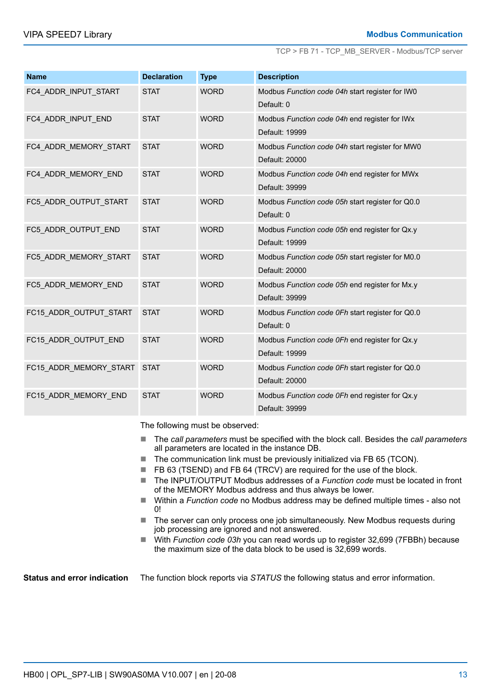TCP > FB 71 - TCP\_MB\_SERVER - Modbus/TCP server

| <b>Name</b>            | <b>Declaration</b> | <b>Type</b> | <b>Description</b>                               |
|------------------------|--------------------|-------------|--------------------------------------------------|
| FC4 ADDR INPUT START   | <b>STAT</b>        | <b>WORD</b> | Modbus Function code 04h start register for IW0  |
|                        |                    |             | Default: 0                                       |
| FC4 ADDR INPUT END     | <b>STAT</b>        | <b>WORD</b> | Modbus Function code 04h end register for IWx    |
|                        |                    |             | Default: 19999                                   |
| FC4 ADDR MEMORY START  | <b>STAT</b>        | <b>WORD</b> | Modbus Function code 04h start register for MW0  |
|                        |                    |             | Default: 20000                                   |
| FC4 ADDR MEMORY END    | <b>STAT</b>        | <b>WORD</b> | Modbus Function code 04h end register for MWx    |
|                        |                    |             | Default: 39999                                   |
| FC5 ADDR OUTPUT START  | <b>STAT</b>        | <b>WORD</b> | Modbus Function code 05h start register for Q0.0 |
|                        |                    |             | Default: 0                                       |
| FC5 ADDR OUTPUT END    | <b>STAT</b>        | <b>WORD</b> | Modbus Function code 05h end register for Qx.y   |
|                        |                    |             | Default: 19999                                   |
| FC5_ADDR_MEMORY_START  | <b>STAT</b>        | <b>WORD</b> | Modbus Function code 05h start register for M0.0 |
|                        |                    |             | Default: 20000                                   |
| FC5 ADDR MEMORY END    | <b>STAT</b>        | <b>WORD</b> | Modbus Function code 05h end register for Mx.y   |
|                        |                    |             | Default: 39999                                   |
| FC15_ADDR_OUTPUT_START | <b>STAT</b>        | <b>WORD</b> | Modbus Function code 0Fh start register for Q0.0 |
|                        |                    |             | Default: 0                                       |
| FC15 ADDR OUTPUT END   | <b>STAT</b>        | <b>WORD</b> | Modbus Function code 0Fh end register for Qx.y   |
|                        |                    |             | Default: 19999                                   |
| FC15 ADDR MEMORY START | <b>STAT</b>        | <b>WORD</b> | Modbus Function code 0Fh start register for Q0.0 |
|                        |                    |             | Default: 20000                                   |
| FC15 ADDR MEMORY END   | <b>STAT</b>        | <b>WORD</b> | Modbus Function code 0Fh end register for Qx.y   |
|                        |                    |             | Default: 39999                                   |

The following must be observed:

- The *call parameters* must be specified with the block call. Besides the *call parameters* all parameters are located in the instance DB.
- $\blacksquare$  The communication link must be previously initialized via FB 65 (TCON).
- FB 63 (TSEND) and FB 64 (TRCV) are required for the use of the block.
- The INPUT/OUTPUT Modbus addresses of a *Function code* must be located in front of the MEMORY Modbus address and thus always be lower.
- Within a *Function code* no Modbus address may be defined multiple times also not 0!
- $\blacksquare$  The server can only process one job simultaneously. New Modbus requests during job processing are ignored and not answered.
- With *Function code 03h* you can read words up to register 32,699 (7FBBh) because the maximum size of the data block to be used is 32,699 words.

**Status and error indication** The function block reports via *STATUS* the following status and error information.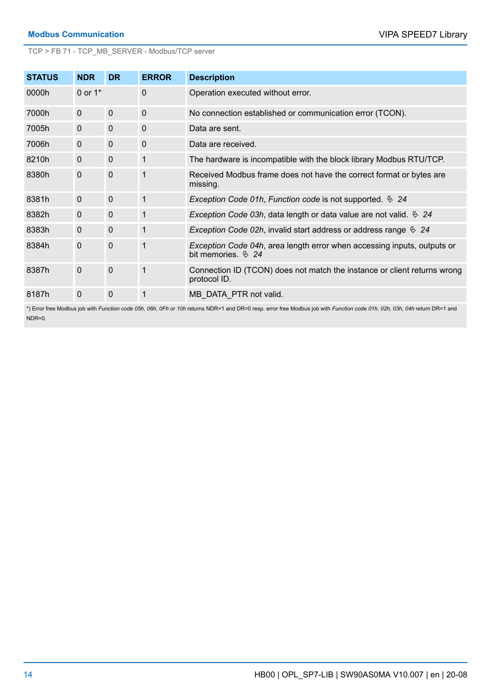TCP > FB 71 - TCP\_MB\_SERVER - Modbus/TCP server

| <b>STATUS</b> | <b>NDR</b>     | <b>DR</b>    | <b>ERROR</b> | <b>Description</b>                                                                             |
|---------------|----------------|--------------|--------------|------------------------------------------------------------------------------------------------|
| 0000h         | 0 or $1^*$     |              | 0            | Operation executed without error.                                                              |
| 7000h         | $\overline{0}$ | $\mathbf{0}$ | $\Omega$     | No connection established or communication error (TCON).                                       |
| 7005h         | $\overline{0}$ | $\mathbf{0}$ | $\Omega$     | Data are sent.                                                                                 |
| 7006h         | $\mathbf{0}$   | $\mathbf{0}$ | $\Omega$     | Data are received.                                                                             |
| 8210h         | $\mathbf{0}$   | $\mathbf{0}$ | 1            | The hardware is incompatible with the block library Modbus RTU/TCP.                            |
| 8380h         | $\mathbf{0}$   | $\mathbf{0}$ | 1            | Received Modbus frame does not have the correct format or bytes are<br>missing.                |
| 8381h         | $\mathbf{0}$   | $\Omega$     | 1            | Exception Code 01h, Function code is not supported. $\&$ 24                                    |
| 8382h         | $\mathbf{0}$   | $\mathbf{0}$ | 1            | <i>Exception Code 03h, data length or data value are not valid.</i> $\frac{6}{9}$ 24           |
| 8383h         | $\mathbf{0}$   | $\mathbf{0}$ | 1            | <i>Exception Code 02h, invalid start address or address range</i> $\frac{6}{2}$ 24             |
| 8384h         | $\mathbf 0$    | $\mathbf 0$  | 1            | Exception Code 04h, area length error when accessing inputs, outputs or<br>bit memories. $624$ |
| 8387h         | $\overline{0}$ | $\mathbf{0}$ | 1            | Connection ID (TCON) does not match the instance or client returns wrong<br>protocol ID.       |
| 8187h         | $\mathbf 0$    | 0            | 1            | MB DATA PTR not valid.                                                                         |

\*) Error free Modbus job with *Function code 05h, 06h, 0Fh* or *10h* returns NDR=1 and DR=0 resp. error free Modbus job with *Function code 01h, 02h, 03h, 04h* return DR=1 and NDR=0.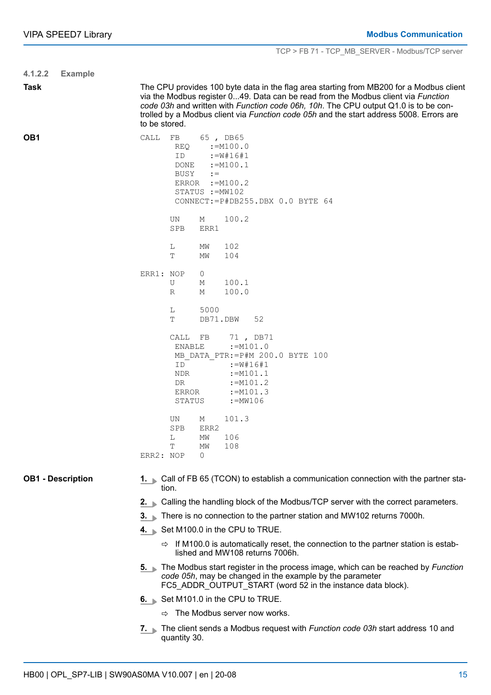| 4.1.2.2         | <b>Example</b>           |                                                                                                                                                                                                                                                                                                                                                                                 |  |  |  |  |  |
|-----------------|--------------------------|---------------------------------------------------------------------------------------------------------------------------------------------------------------------------------------------------------------------------------------------------------------------------------------------------------------------------------------------------------------------------------|--|--|--|--|--|
| <b>Task</b>     |                          | The CPU provides 100 byte data in the flag area starting from MB200 for a Modbus client<br>via the Modbus register 049. Data can be read from the Modbus client via Function<br>code 03h and written with Function code 06h, 10h. The CPU output Q1.0 is to be con-<br>trolled by a Modbus client via Function code 05h and the start address 5008. Errors are<br>to be stored. |  |  |  |  |  |
| OB <sub>1</sub> |                          | CALL<br>FB<br>65, DB65<br>REQ<br>$:=M100.0$<br>$:=$ $W$ #16#1<br>ID<br>$:=$ M100.1<br>DONE<br>BUSY<br>$: =$<br>ERROR<br>$:=M100.2$<br>STATUS := MW102<br>CONNECT: = P#DB255.DBX 0.0 BYTE 64                                                                                                                                                                                     |  |  |  |  |  |
|                 |                          | UN<br>100.2<br>М<br>SPB<br>ERR1                                                                                                                                                                                                                                                                                                                                                 |  |  |  |  |  |
|                 |                          | L<br>102<br>МW<br>T<br>104<br>МW                                                                                                                                                                                                                                                                                                                                                |  |  |  |  |  |
|                 |                          | ERR1: NOP<br>0<br>100.1<br>U<br>М<br>100.0<br>R<br>М                                                                                                                                                                                                                                                                                                                            |  |  |  |  |  |
|                 |                          | 5000<br>L<br>52<br>DB71.DBW<br>Т                                                                                                                                                                                                                                                                                                                                                |  |  |  |  |  |
|                 |                          | CALL FB<br>71, DB71<br>$:=M101.0$<br>ENABLE<br>MB DATA PTR: = P#M 200.0 BYTE 100<br>ID<br>$:=$ $W$ #16#1<br>$:=$ M101.1<br>NDR<br>$:=M101.2$<br>DR<br>$:=$ M101.3<br>ERROR<br>:=MW106<br>STATUS                                                                                                                                                                                 |  |  |  |  |  |
|                 |                          | 101.3<br>UN<br>М<br>SPB<br>ERR2<br>106<br>L<br>ΜW<br>Т<br>108<br>ΜW<br>ERR2: NOP<br>$\circ$                                                                                                                                                                                                                                                                                     |  |  |  |  |  |
|                 | <b>OB1 - Description</b> | Call of FB 65 (TCON) to establish a communication connection with the partner sta-<br>$1. \blacksquare$<br>tion.                                                                                                                                                                                                                                                                |  |  |  |  |  |
|                 |                          | Calling the handling block of the Modbus/TCP server with the correct parameters.<br>$2. \triangleright$                                                                                                                                                                                                                                                                         |  |  |  |  |  |
|                 |                          | There is no connection to the partner station and MW102 returns 7000h.<br>$3. \pm$                                                                                                                                                                                                                                                                                              |  |  |  |  |  |
|                 |                          | 4. Set M100.0 in the CPU to TRUE.                                                                                                                                                                                                                                                                                                                                               |  |  |  |  |  |
|                 |                          | If M100.0 is automatically reset, the connection to the partner station is estab-<br>⇨<br>lished and MW108 returns 7006h.                                                                                                                                                                                                                                                       |  |  |  |  |  |
|                 |                          | 5. The Modbus start register in the process image, which can be reached by Function<br>code 05h, may be changed in the example by the parameter<br>FC5_ADDR_OUTPUT_START (word 52 in the instance data block).                                                                                                                                                                  |  |  |  |  |  |
|                 |                          | 6. Set M101.0 in the CPU to TRUE.                                                                                                                                                                                                                                                                                                                                               |  |  |  |  |  |
|                 |                          | $\Rightarrow$ The Modbus server now works.                                                                                                                                                                                                                                                                                                                                      |  |  |  |  |  |
|                 |                          | 7. The client sends a Modbus request with <i>Function code 03h</i> start address 10 and<br>quantity 30.                                                                                                                                                                                                                                                                         |  |  |  |  |  |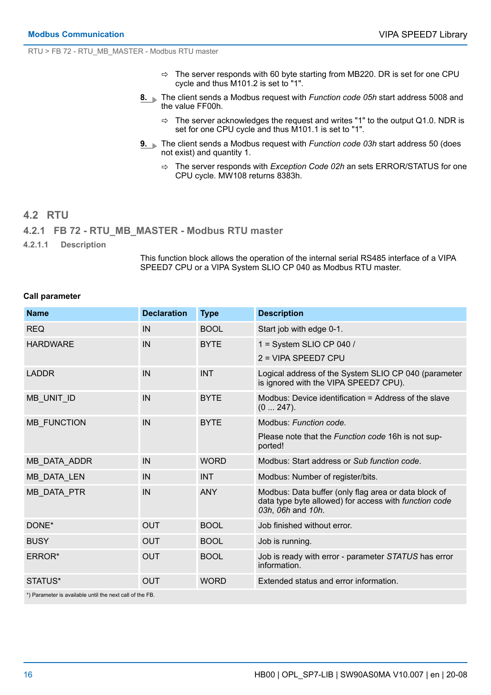<span id="page-15-0"></span>RTU > FB 72 - RTU\_MB\_MASTER - Modbus RTU master

- $\Rightarrow$  The server responds with 60 byte starting from MB220. DR is set for one CPU cycle and thus M101.2 is set to "1".
- **8.** The client sends a Modbus request with *Function code 05h* start address 5008 and the value FF00h.
	- $\Rightarrow$  The server acknowledges the request and writes "1" to the output Q1.0. NDR is set for one CPU cycle and thus M101.1 is set to "1".
- **9.** The client sends a Modbus request with *Function code 03h* start address 50 (does not exist) and quantity 1.
	- ð The server responds with *Exception Code 02h* an sets ERROR/STATUS for one CPU cycle. MW108 returns 8383h.

## **4.2 RTU 4.2.1 FB 72 - RTU\_MB\_MASTER - Modbus RTU master**

**4.2.1.1 Description**

This function block allows the operation of the internal serial RS485 interface of a VIPA SPEED7 CPU or a VIPA System SLIO CP 040 as Modbus RTU master.

#### **Call parameter**

| <b>Name</b>                                              | <b>Declaration</b> | <b>Type</b> | <b>Description</b>                                                                                                                 |  |
|----------------------------------------------------------|--------------------|-------------|------------------------------------------------------------------------------------------------------------------------------------|--|
| <b>REQ</b>                                               | IN                 | <b>BOOL</b> | Start job with edge 0-1.                                                                                                           |  |
| <b>HARDWARE</b>                                          | IN                 | <b>BYTE</b> | 1 = System SLIO CP 040 /                                                                                                           |  |
|                                                          |                    |             | 2 = VIPA SPEED7 CPU                                                                                                                |  |
| <b>LADDR</b>                                             | IN                 | <b>INT</b>  | Logical address of the System SLIO CP 040 (parameter<br>is ignored with the VIPA SPEED7 CPU).                                      |  |
| MB_UNIT_ID                                               | IN                 | <b>BYTE</b> | Modbus: Device identification = Address of the slave<br>(0247).                                                                    |  |
| <b>MB FUNCTION</b>                                       | IN                 | <b>BYTE</b> | Modbus: Function code.                                                                                                             |  |
|                                                          |                    |             | Please note that the Function code 16h is not sup-<br>ported!                                                                      |  |
| MB_DATA_ADDR                                             | IN                 | <b>WORD</b> | Modbus: Start address or Sub function code.                                                                                        |  |
| <b>MB DATA LEN</b>                                       | IN                 | <b>INT</b>  | Modbus: Number of register/bits.                                                                                                   |  |
| MB_DATA_PTR                                              | IN                 | <b>ANY</b>  | Modbus: Data buffer (only flag area or data block of<br>data type byte allowed) for access with function code<br>03h, 06h and 10h. |  |
| DONE*                                                    | <b>OUT</b>         | <b>BOOL</b> | Job finished without error.                                                                                                        |  |
| <b>BUSY</b>                                              | <b>OUT</b>         | <b>BOOL</b> | Job is running.                                                                                                                    |  |
| ERROR*                                                   | <b>OUT</b>         | <b>BOOL</b> | Job is ready with error - parameter STATUS has error<br>information.                                                               |  |
| STATUS*                                                  | <b>OUT</b>         | <b>WORD</b> | Extended status and error information.                                                                                             |  |
| *) Parameter is available until the next call of the FB. |                    |             |                                                                                                                                    |  |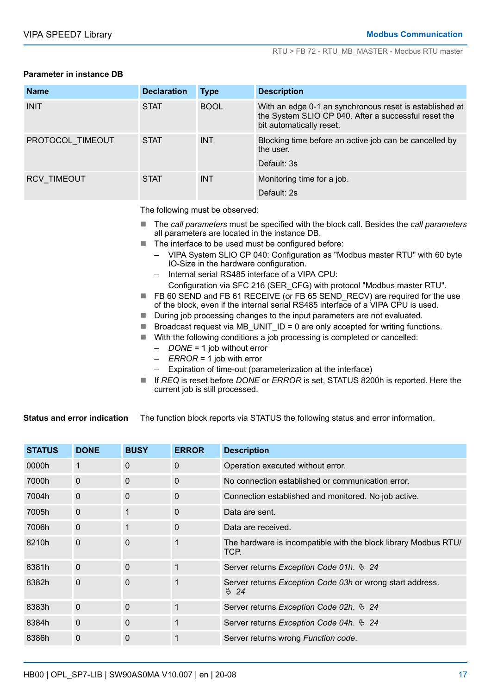#### **Parameter in instance DB**

| <b>Name</b>        | <b>Declaration</b> | <b>Type</b> | <b>Description</b>                                                                                                                          |
|--------------------|--------------------|-------------|---------------------------------------------------------------------------------------------------------------------------------------------|
| <b>INIT</b>        | <b>STAT</b>        | <b>BOOL</b> | With an edge 0-1 an synchronous reset is established at<br>the System SLIO CP 040. After a successful reset the<br>bit automatically reset. |
| PROTOCOL TIMEOUT   | <b>STAT</b>        | <b>INT</b>  | Blocking time before an active job can be cancelled by<br>the user.                                                                         |
|                    |                    |             | Default: 3s                                                                                                                                 |
| <b>RCV TIMEOUT</b> | <b>STAT</b>        | <b>INT</b>  | Monitoring time for a job.                                                                                                                  |
|                    |                    |             | Default: 2s                                                                                                                                 |

The following must be observed:

- The *call parameters* must be specified with the block call. Besides the *call parameters* all parameters are located in the instance DB.
- $\blacksquare$  The interface to be used must be configured before:
	- VIPA System SLIO CP 040: Configuration as "Modbus master RTU" with 60 byte IO-Size in the hardware configuration.
	- Internal serial RS485 interface of a VIPA CPU:
	- Configuration via SFC 216 (SER\_CFG) with protocol "Modbus master RTU".
- FB 60 SEND and FB 61 RECEIVE (or FB 65 SEND\_RECV) are required for the use of the block, even if the internal serial RS485 interface of a VIPA CPU is used.
- During job processing changes to the input parameters are not evaluated.
- **E** Broadcast request via MB\_UNIT\_ID = 0 are only accepted for writing functions.
- With the following conditions a job processing is completed or cancelled:
	- *DONE* = 1 job without error
	- *ERROR* = 1 job with error
	- Expiration of time-out (parameterization at the interface)
- If *REQ* is reset before *DONE* or *ERROR* is set, STATUS 8200h is reported. Here the current job is still processed.

The function block reports via STATUS the following status and error information. **Status and error indication**

| <b>STATUS</b> | <b>DONE</b> | <b>BUSY</b> | <b>ERROR</b> | <b>Description</b>                                                                                |
|---------------|-------------|-------------|--------------|---------------------------------------------------------------------------------------------------|
| 0000h         | 1           | $\Omega$    | $\mathbf{0}$ | Operation executed without error.                                                                 |
| 7000h         | $\Omega$    | 0           | $\Omega$     | No connection established or communication error.                                                 |
| 7004h         | $\Omega$    | 0           | $\mathbf{0}$ | Connection established and monitored. No job active.                                              |
| 7005h         | $\mathbf 0$ | 1           | $\mathbf{0}$ | Data are sent.                                                                                    |
| 7006h         | $\Omega$    | 1           | $\mathbf{0}$ | Data are received.                                                                                |
| 8210h         | $\Omega$    | $\Omega$    |              | The hardware is incompatible with the block library Modbus RTU/<br>TCP.                           |
| 8381h         | $\Omega$    | $\Omega$    |              | Server returns <i>Exception Code 01h</i> . $624$                                                  |
| 8382h         | 0           | $\Omega$    |              | Server returns <i>Exception Code 03h</i> or wrong start address.<br>$\overset{\circ}{\otimes}$ 24 |
| 8383h         | $\mathbf 0$ | 0           |              | Server returns Exception Code 02h. $624$                                                          |
| 8384h         | $\mathbf 0$ | $\Omega$    |              | Server returns Exception Code 04h. $624$                                                          |
| 8386h         | $\mathbf 0$ | 0           |              | Server returns wrong Function code.                                                               |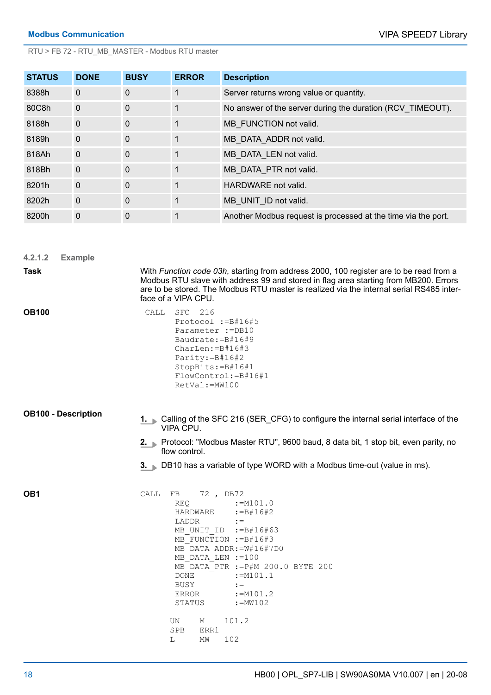RTU > FB 72 - RTU\_MB\_MASTER - Modbus RTU master

| <b>STATUS</b> | <b>DONE</b>    | <b>BUSY</b> | <b>ERROR</b> | <b>Description</b>                                            |
|---------------|----------------|-------------|--------------|---------------------------------------------------------------|
| 8388h         | $\mathbf 0$    | $\mathbf 0$ |              | Server returns wrong value or quantity.                       |
| 80C8h         | $\mathbf 0$    | $\mathbf 0$ |              | No answer of the server during the duration (RCV TIMEOUT).    |
| 8188h         | $\mathbf{0}$   | $\Omega$    |              | MB FUNCTION not valid.                                        |
| 8189h         | $\overline{0}$ | $\mathbf 0$ |              | MB DATA ADDR not valid.                                       |
| 818Ah         | $\mathbf 0$    | $\Omega$    |              | MB DATA LEN not valid.                                        |
| 818Bh         | $\Omega$       | $\Omega$    |              | MB DATA PTR not valid.                                        |
| 8201h         | $\mathbf{0}$   | $\mathbf 0$ |              | HARDWARE not valid.                                           |
| 8202h         | $\Omega$       | $\Omega$    |              | MB UNIT ID not valid.                                         |
| 8200h         | 0              | $\mathbf 0$ |              | Another Modbus request is processed at the time via the port. |

| 4.2.1.2                    | <b>Example</b> |                                                                                                                                                                                                                                                                                                                                 |  |  |  |  |  |
|----------------------------|----------------|---------------------------------------------------------------------------------------------------------------------------------------------------------------------------------------------------------------------------------------------------------------------------------------------------------------------------------|--|--|--|--|--|
| <b>Task</b>                |                | With Function code 03h, starting from address 2000, 100 register are to be read from a<br>Modbus RTU slave with address 99 and stored in flag area starting from MB200. Errors<br>are to be stored. The Modbus RTU master is realized via the internal serial RS485 inter-<br>face of a VIPA CPU.                               |  |  |  |  |  |
| <b>OB100</b>               |                | CALL<br>SFC 216<br>Protocol := B#16#5<br>Parameter := DB10<br>Baudrate: $=$ B#16#9<br>$CharLen:=B#16#3$<br>Parity: = B#16#2<br>$StopBits:=B#16#1$<br>FlowControl: = B#16#1<br>$RetVal:=MW100$                                                                                                                                   |  |  |  |  |  |
| <b>OB100 - Description</b> |                | 1. Calling of the SFC 216 (SER_CFG) to configure the internal serial interface of the<br>VIPA CPU.                                                                                                                                                                                                                              |  |  |  |  |  |
|                            |                | 2. Protocol: "Modbus Master RTU", 9600 baud, 8 data bit, 1 stop bit, even parity, no<br>flow control.                                                                                                                                                                                                                           |  |  |  |  |  |
|                            |                | 3. DB10 has a variable of type WORD with a Modbus time-out (value in ms).                                                                                                                                                                                                                                                       |  |  |  |  |  |
| OB1                        |                | 72, DB72<br>CALL<br>FB<br>$:=M101.0$<br>REQ.<br>HARDWARE<br>$:= B#16#2$<br>LADDR<br>$: =$<br>MB UNIT ID := B#16#63<br>MB FUNCTION := B#16#3<br>MB DATA ADDR: = W#16#7D0<br>MB DATA LEN := 100<br>MB DATA PTR := P#M 200.0 BYTE 200<br><b>DONE</b><br>$:=M101.1$<br>BUSY<br>$: =$<br>$:=M101.2$<br>ERROR<br>STATUS<br>$:=$ MW102 |  |  |  |  |  |
|                            |                | 101.2<br>UN<br>М<br><b>SPB</b><br>ERR1<br>102<br>L<br>МW                                                                                                                                                                                                                                                                        |  |  |  |  |  |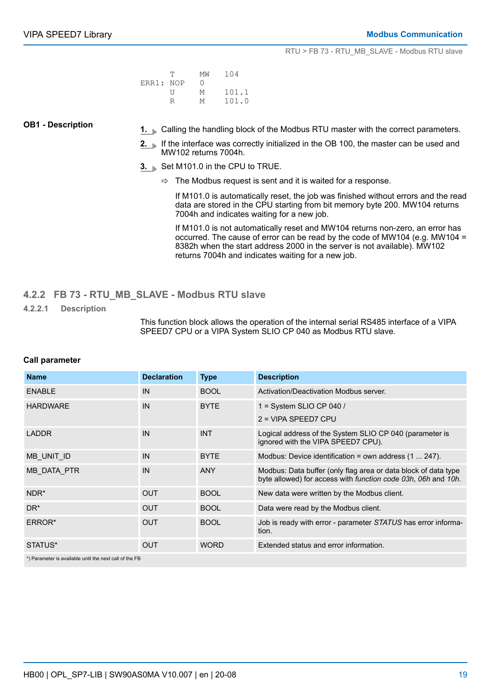|           | T | МW | 104   |
|-----------|---|----|-------|
| ERR1: NOP |   | 0  |       |
|           | Н | M  | 101.1 |
|           |   | M  | 101.0 |

#### <span id="page-18-0"></span>**OB1 - Description**

- **1.** Calling the handling block of the Modbus RTU master with the correct parameters.
- **2.** If the interface was correctly initialized in the OB 100, the master can be used and MW102 returns 7004h.
- **3.** Set M101.0 in the CPU to TRUE.
	- $\Rightarrow$  The Modbus request is sent and it is waited for a response.

If M101.0 is automatically reset, the job was finished without errors and the read data are stored in the CPU starting from bit memory byte 200. MW104 returns 7004h and indicates waiting for a new job.

If M101.0 is not automatically reset and MW104 returns non-zero, an error has occurred. The cause of error can be read by the code of MW104 (e.g. MW104 = 8382h when the start address 2000 in the server is not available). MW102 returns 7004h and indicates waiting for a new job.

- **4.2.2 FB 73 RTU\_MB\_SLAVE Modbus RTU slave**
- **4.2.2.1 Description**

This function block allows the operation of the internal serial RS485 interface of a VIPA SPEED7 CPU or a VIPA System SLIO CP 040 as Modbus RTU slave.

#### **Call parameter**

| <b>Name</b>      | <b>Declaration</b> | <b>Type</b> | <b>Description</b>                                                                                                              |
|------------------|--------------------|-------------|---------------------------------------------------------------------------------------------------------------------------------|
| <b>ENABLE</b>    | IN                 | <b>BOOL</b> | Activation/Deactivation Modbus server.                                                                                          |
| <b>HARDWARE</b>  | IN                 | <b>BYTE</b> | 1 = System SLIO CP 040 /                                                                                                        |
|                  |                    |             | $2 = VIPA$ SPEED7 CPU                                                                                                           |
| <b>LADDR</b>     | IN                 | <b>INT</b>  | Logical address of the System SLIO CP 040 (parameter is<br>ignored with the VIPA SPEED7 CPU).                                   |
| MB UNIT ID       | IN                 | <b>BYTE</b> | Modbus: Device identification = own address $(1 \dots 247)$ .                                                                   |
| MB DATA PTR      | IN                 | <b>ANY</b>  | Modbus: Data buffer (only flag area or data block of data type<br>byte allowed) for access with function code 03h, 06h and 10h. |
| NDR <sup>*</sup> | <b>OUT</b>         | <b>BOOL</b> | New data were written by the Modbus client.                                                                                     |
| DR <sup>*</sup>  | <b>OUT</b>         | <b>BOOL</b> | Data were read by the Modbus client.                                                                                            |
| ERROR*           | <b>OUT</b>         | <b>BOOL</b> | Job is ready with error - parameter STATUS has error informa-<br>tion.                                                          |
| STATUS*          | <b>OUT</b>         | <b>WORD</b> | Extended status and error information.                                                                                          |
|                  |                    |             |                                                                                                                                 |

\*) Parameter is available until the next call of the FB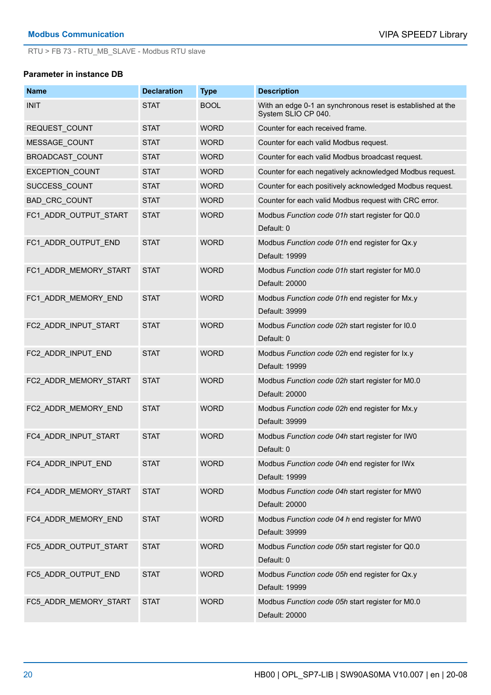#### **Parameter in instance DB**

| <b>Name</b>            | <b>Declaration</b> | <b>Type</b> | <b>Description</b>                                                                 |
|------------------------|--------------------|-------------|------------------------------------------------------------------------------------|
| <b>INIT</b>            | <b>STAT</b>        | <b>BOOL</b> | With an edge 0-1 an synchronous reset is established at the<br>System SLIO CP 040. |
| REQUEST_COUNT          | <b>STAT</b>        | <b>WORD</b> | Counter for each received frame.                                                   |
| <b>MESSAGE COUNT</b>   | <b>STAT</b>        | <b>WORD</b> | Counter for each valid Modbus request.                                             |
| BROADCAST COUNT        | <b>STAT</b>        | <b>WORD</b> | Counter for each valid Modbus broadcast request.                                   |
| <b>EXCEPTION COUNT</b> | <b>STAT</b>        | <b>WORD</b> | Counter for each negatively acknowledged Modbus request.                           |
| SUCCESS COUNT          | <b>STAT</b>        | <b>WORD</b> | Counter for each positively acknowledged Modbus request.                           |
| <b>BAD CRC COUNT</b>   | <b>STAT</b>        | <b>WORD</b> | Counter for each valid Modbus request with CRC error.                              |
| FC1 ADDR OUTPUT START  | <b>STAT</b>        | <b>WORD</b> | Modbus Function code 01h start register for Q0.0<br>Default: 0                     |
| FC1_ADDR_OUTPUT_END    | <b>STAT</b>        | <b>WORD</b> | Modbus Function code 01h end register for Qx.y<br>Default: 19999                   |
| FC1 ADDR MEMORY START  | <b>STAT</b>        | <b>WORD</b> | Modbus Function code 01h start register for M0.0<br>Default: 20000                 |
| FC1 ADDR MEMORY END    | <b>STAT</b>        | <b>WORD</b> | Modbus Function code 01h end register for Mx.y<br>Default: 39999                   |
| FC2 ADDR INPUT START   | <b>STAT</b>        | <b>WORD</b> | Modbus Function code 02h start register for I0.0<br>Default: 0                     |
| FC2 ADDR INPUT END     | <b>STAT</b>        | <b>WORD</b> | Modbus Function code 02h end register for Ix.y<br>Default: 19999                   |
| FC2_ADDR_MEMORY_START  | <b>STAT</b>        | <b>WORD</b> | Modbus Function code 02h start register for M0.0<br>Default: 20000                 |
| FC2_ADDR_MEMORY_END    | <b>STAT</b>        | <b>WORD</b> | Modbus Function code 02h end register for Mx.y<br>Default: 39999                   |
| FC4 ADDR INPUT START   | <b>STAT</b>        | <b>WORD</b> | Modbus Function code 04h start register for IW0<br>Default: 0                      |
| FC4 ADDR INPUT END     | <b>STAT</b>        | <b>WORD</b> | Modbus Function code 04h end register for IWx<br>Default: 19999                    |
| FC4_ADDR_MEMORY_START  | <b>STAT</b>        | <b>WORD</b> | Modbus Function code 04h start register for MW0<br>Default: 20000                  |
| FC4_ADDR_MEMORY_END    | <b>STAT</b>        | <b>WORD</b> | Modbus Function code 04 h end register for MW0<br>Default: 39999                   |
| FC5_ADDR_OUTPUT_START  | <b>STAT</b>        | <b>WORD</b> | Modbus Function code 05h start register for Q0.0<br>Default: 0                     |
| FC5_ADDR_OUTPUT_END    | <b>STAT</b>        | <b>WORD</b> | Modbus Function code 05h end register for Qx.y<br>Default: 19999                   |
| FC5_ADDR_MEMORY_START  | <b>STAT</b>        | <b>WORD</b> | Modbus Function code 05h start register for M0.0<br>Default: 20000                 |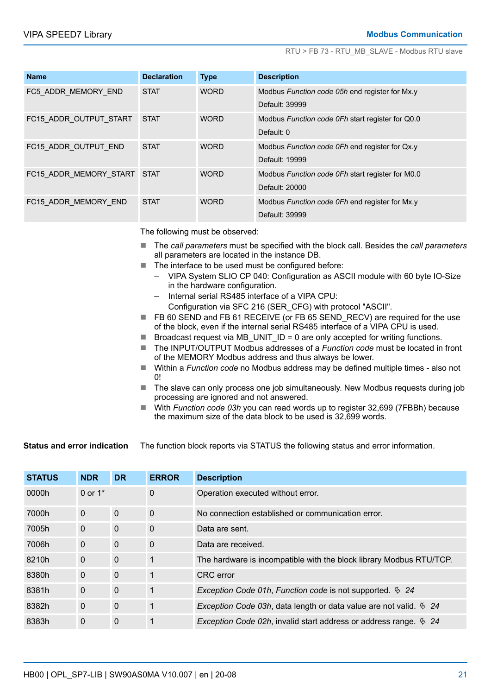| <b>Name</b>                 | <b>Declaration</b> | <b>Type</b> | <b>Description</b>                               |
|-----------------------------|--------------------|-------------|--------------------------------------------------|
| FC5 ADDR MEMORY END         | <b>STAT</b>        | <b>WORD</b> | Modbus Function code 05h end register for Mx.y   |
|                             |                    |             | Default: 39999                                   |
| FC15 ADDR OUTPUT START      | <b>STAT</b>        | <b>WORD</b> | Modbus Function code OFh start register for Q0.0 |
|                             |                    |             | Default: 0                                       |
| FC15 ADDR_OUTPUT_END        | <b>STAT</b>        | <b>WORD</b> | Modbus Function code OFh end register for Qx.y   |
|                             |                    |             | Default: 19999                                   |
| FC15 ADDR MEMORY START STAT |                    | <b>WORD</b> | Modbus Function code OFh start register for M0.0 |
|                             |                    |             | Default: 20000                                   |
| FC15 ADDR MEMORY END        | <b>STAT</b>        | <b>WORD</b> | Modbus Function code OFh end register for Mx.y   |
|                             |                    |             | Default: 39999                                   |

The following must be observed:

- The *call parameters* must be specified with the block call. Besides the *call parameters* all parameters are located in the instance DB.
- The interface to be used must be configured before:
	- VIPA System SLIO CP 040: Configuration as ASCII module with 60 byte IO-Size in the hardware configuration.
	- Internal serial RS485 interface of a VIPA CPU:

Configuration via SFC 216 (SER\_CFG) with protocol "ASCII".

- FB 60 SEND and FB 61 RECEIVE (or FB 65 SEND\_RECV) are required for the use of the block, even if the internal serial RS485 interface of a VIPA CPU is used.
- F Broadcast request via MB UNIT  $ID = 0$  are only accepted for writing functions.
- The INPUT/OUTPUT Modbus addresses of a *Function code* must be located in front of the MEMORY Modbus address and thus always be lower.
- Within a *Function code* no Modbus address may be defined multiple times also not  $\Omega$
- $\blacksquare$  The slave can only process one job simultaneously. New Modbus requests during job processing are ignored and not answered.
- With *Function code 03h* you can read words up to register 32,699 (7FBBh) because the maximum size of the data block to be used is 32,699 words.

The function block reports via STATUS the following status and error information. **Status and error indication**

| <b>STATUS</b> | <b>NDR</b>   | <b>DR</b>    | <b>ERROR</b> | <b>Description</b>                                                                   |
|---------------|--------------|--------------|--------------|--------------------------------------------------------------------------------------|
| 0000h         | 0 or $1*$    |              | 0            | Operation executed without error.                                                    |
| 7000h         | $\mathbf{0}$ | $\mathbf 0$  | $\mathbf 0$  | No connection established or communication error.                                    |
| 7005h         | $\mathbf{0}$ | $\mathbf 0$  | $\mathbf 0$  | Data are sent.                                                                       |
| 7006h         | $\Omega$     | $\mathbf{0}$ | $\Omega$     | Data are received.                                                                   |
| 8210h         | $\mathbf{0}$ | $\mathbf{0}$ | $\mathbf 1$  | The hardware is incompatible with the block library Modbus RTU/TCP.                  |
| 8380h         | $\Omega$     | $\mathbf{0}$ | 1            | <b>CRC</b> error                                                                     |
| 8381h         | $\Omega$     | $\mathbf{0}$ | $\mathbf 1$  | Exception Code 01h, Function code is not supported. $\frac{6}{9}$ 24                 |
| 8382h         | $\mathbf{0}$ | $\mathbf{0}$ | 1            | <i>Exception Code 03h, data length or data value are not valid.</i> $\frac{6}{9}$ 24 |
| 8383h         | $\mathbf 0$  | $\mathbf 0$  | 1            | <i>Exception Code 02h</i> , invalid start address or address range. $\frac{6}{3}$ 24 |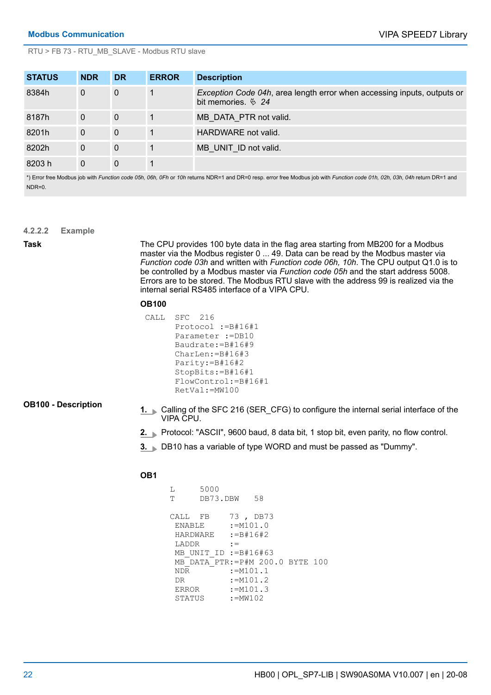| <b>STATUS</b> | <b>NDR</b>   | <b>DR</b>    | <b>ERROR</b> | <b>Description</b>                                                                             |
|---------------|--------------|--------------|--------------|------------------------------------------------------------------------------------------------|
| 8384h         | $\mathbf{0}$ | $\mathbf 0$  |              | Exception Code 04h, area length error when accessing inputs, outputs or<br>bit memories. $624$ |
| 8187h         | $\theta$     | $\mathbf{0}$ |              | MB DATA PTR not valid.                                                                         |
| 8201h         | 0            | $\mathbf{0}$ |              | HARDWARE not valid.                                                                            |
| 8202h         | $\mathbf{0}$ | $\mathbf{0}$ |              | MB UNIT ID not valid.                                                                          |
| 8203 h        | 0            | $\Omega$     |              |                                                                                                |

\*) Error free Modbus job with *Function code 05h, 06h, 0Fh* or *10h* returns NDR=1 and DR=0 resp. error free Modbus job with *Function code 01h, 02h, 03h, 04h* return DR=1 and NDR=0.

**4.2.2.2 Example**

**Task**

The CPU provides 100 byte data in the flag area starting from MB200 for a Modbus master via the Modbus register 0 ... 49. Data can be read by the Modbus master via *Function code 03h* and written with *Function code 06h, 10h*. The CPU output Q1.0 is to be controlled by a Modbus master via *Function code 05h* and the start address 5008. Errors are to be stored. The Modbus RTU slave with the address 99 is realized via the internal serial RS485 interface of a VIPA CPU.

#### **OB100**

 CALL SFC 216 Protocol :=B#16#1 Parameter :=DB10 Baudrate:=B#16#9 CharLen:=B#16#3 Parity:=B#16#2 StopBits:=B#16#1 FlowControl:=B#16#1 RetVal:=MW100

#### **OB100 - Description**

- **1.** Calling of the SFC 216 (SER CFG) to configure the internal serial interface of the VIPA CPU.
- **2.** Protocol: "ASCII", 9600 baud, 8 data bit, 1 stop bit, even parity, no flow control.
- **3.** DB10 has a variable of type WORD and must be passed as "Dummy".

#### **OB1**

```
 L 5000
 T DB73.DBW 58
 CALL FB 73 , DB73
ENABLE :=M101.0
 HARDWARE :=B#16#2
LADDR :=
MB_UNIT_ID :=B#16#63
 MB_DATA_PTR:=P#M 200.0 BYTE 100
N\overline{DR} :=M101.1<br>DR :=M101.2
 DR :=M101.2<br>ERROR :=M101.3
           :=M101.3 STATUS :=MW102
```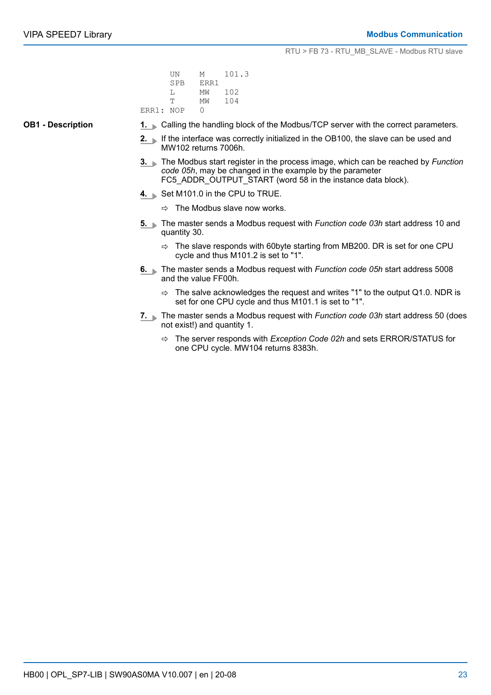|           | UN  | M    | 101.3 |
|-----------|-----|------|-------|
|           | SPB | ERR1 |       |
|           | т.  | МW   | 102   |
|           | Ͳ   | МW   | 104   |
| ERR1: NOP |     |      |       |

**OB1 - Description**

- **1.** Calling the handling block of the Modbus/TCP server with the correct parameters.
- **2.** If the interface was correctly initialized in the OB100, the slave can be used and MW102 returns 7006h.
- **3.** The Modbus start register in the process image, which can be reached by *Function code 05h*, may be changed in the example by the parameter FC5\_ADDR\_OUTPUT\_START (word 58 in the instance data block).
- **4.** Set M101.0 in the CPU to TRUE.
	- $\Rightarrow$  The Modbus slave now works.
- **5.** The master sends a Modbus request with *Function code 03h* start address 10 and quantity 30.
	- $\Rightarrow$  The slave responds with 60byte starting from MB200. DR is set for one CPU cycle and thus M101.2 is set to "1".
- **6.** The master sends a Modbus request with *Function code 05h* start address 5008 and the value FF00h.
	- $\Rightarrow$  The salve acknowledges the request and writes "1" to the output Q1.0. NDR is set for one CPU cycle and thus M101.1 is set to "1".
- **7.** The master sends a Modbus request with *Function code 03h* start address 50 (does not exist!) and quantity 1.
	- ð The server responds with *Exception Code 02h* and sets ERROR/STATUS for one CPU cycle. MW104 returns 8383h.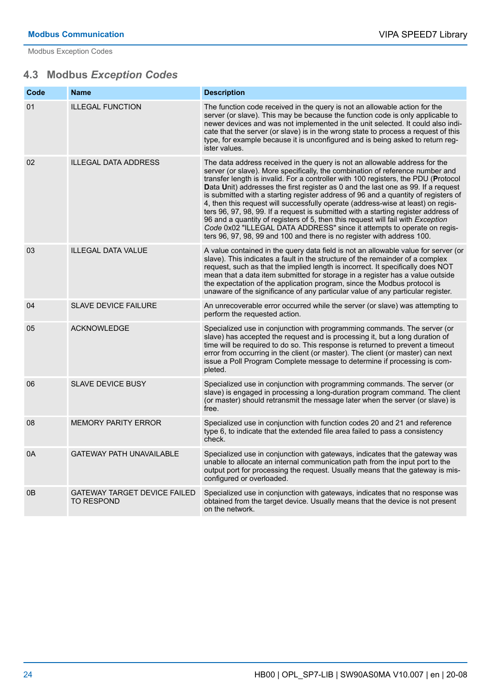<span id="page-23-0"></span>Modbus Exception Codes

## **4.3 Modbus** *Exception Codes*

| Code | <b>Name</b>                                              | <b>Description</b>                                                                                                                                                                                                                                                                                                                                                                                                                                                                                                                                                                                                                                                                                                                                                                                                                             |
|------|----------------------------------------------------------|------------------------------------------------------------------------------------------------------------------------------------------------------------------------------------------------------------------------------------------------------------------------------------------------------------------------------------------------------------------------------------------------------------------------------------------------------------------------------------------------------------------------------------------------------------------------------------------------------------------------------------------------------------------------------------------------------------------------------------------------------------------------------------------------------------------------------------------------|
| 01   | <b>ILLEGAL FUNCTION</b>                                  | The function code received in the query is not an allowable action for the<br>server (or slave). This may be because the function code is only applicable to<br>newer devices and was not implemented in the unit selected. It could also indi-<br>cate that the server (or slave) is in the wrong state to process a request of this<br>type, for example because it is unconfigured and is being asked to return reg-<br>ister values.                                                                                                                                                                                                                                                                                                                                                                                                       |
| 02   | <b>ILLEGAL DATA ADDRESS</b>                              | The data address received in the query is not an allowable address for the<br>server (or slave). More specifically, the combination of reference number and<br>transfer length is invalid. For a controller with 100 registers, the PDU (Protocol<br>Data Unit) addresses the first register as 0 and the last one as 99. If a request<br>is submitted with a starting register address of 96 and a quantity of registers of<br>4, then this request will successfully operate (address-wise at least) on regis-<br>ters 96, 97, 98, 99. If a request is submitted with a starting register address of<br>96 and a quantity of registers of 5, then this request will fail with Exception<br>Code 0x02 "ILLEGAL DATA ADDRESS" since it attempts to operate on regis-<br>ters 96, 97, 98, 99 and 100 and there is no register with address 100. |
| 03   | <b>ILLEGAL DATA VALUE</b>                                | A value contained in the query data field is not an allowable value for server (or<br>slave). This indicates a fault in the structure of the remainder of a complex<br>request, such as that the implied length is incorrect. It specifically does NOT<br>mean that a data item submitted for storage in a register has a value outside<br>the expectation of the application program, since the Modbus protocol is<br>unaware of the significance of any particular value of any particular register.                                                                                                                                                                                                                                                                                                                                         |
| 04   | <b>SLAVE DEVICE FAILURE</b>                              | An unrecoverable error occurred while the server (or slave) was attempting to<br>perform the requested action.                                                                                                                                                                                                                                                                                                                                                                                                                                                                                                                                                                                                                                                                                                                                 |
| 05   | <b>ACKNOWLEDGE</b>                                       | Specialized use in conjunction with programming commands. The server (or<br>slave) has accepted the request and is processing it, but a long duration of<br>time will be required to do so. This response is returned to prevent a timeout<br>error from occurring in the client (or master). The client (or master) can next<br>issue a Poll Program Complete message to determine if processing is com-<br>pleted.                                                                                                                                                                                                                                                                                                                                                                                                                           |
| 06   | <b>SLAVE DEVICE BUSY</b>                                 | Specialized use in conjunction with programming commands. The server (or<br>slave) is engaged in processing a long-duration program command. The client<br>(or master) should retransmit the message later when the server (or slave) is<br>free.                                                                                                                                                                                                                                                                                                                                                                                                                                                                                                                                                                                              |
| 08   | <b>MEMORY PARITY ERROR</b>                               | Specialized use in conjunction with function codes 20 and 21 and reference<br>type 6, to indicate that the extended file area failed to pass a consistency<br>check.                                                                                                                                                                                                                                                                                                                                                                                                                                                                                                                                                                                                                                                                           |
| 0A   | <b>GATEWAY PATH UNAVAILABLE</b>                          | Specialized use in conjunction with gateways, indicates that the gateway was<br>unable to allocate an internal communication path from the input port to the<br>output port for processing the request. Usually means that the gateway is mis-<br>configured or overloaded.                                                                                                                                                                                                                                                                                                                                                                                                                                                                                                                                                                    |
| 0B   | <b>GATEWAY TARGET DEVICE FAILED</b><br><b>TO RESPOND</b> | Specialized use in conjunction with gateways, indicates that no response was<br>obtained from the target device. Usually means that the device is not present<br>on the network.                                                                                                                                                                                                                                                                                                                                                                                                                                                                                                                                                                                                                                                               |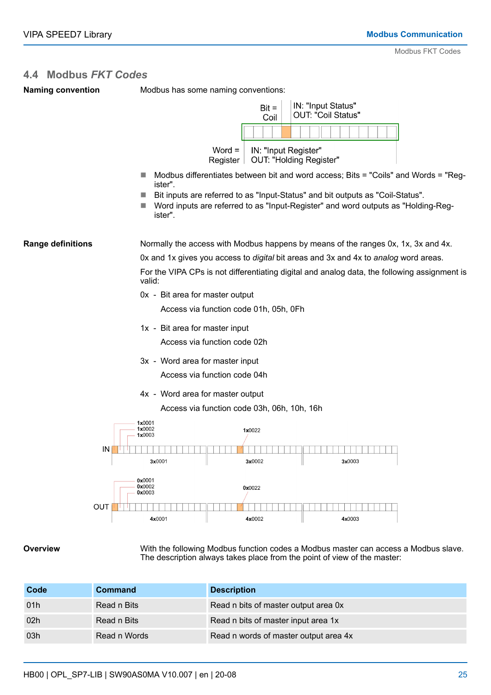### <span id="page-24-0"></span>**4.4 Modbus** *FKT Codes*

|  | <b>Naming convention</b> |
|--|--------------------------|
|--|--------------------------|

Modbus has some naming conventions:

|                          |                                                                | $Bit =$<br>Coil      | IN: "Input Status"<br><b>OUT: "Coil Status"</b>                                                                                                                                                                                                            |
|--------------------------|----------------------------------------------------------------|----------------------|------------------------------------------------------------------------------------------------------------------------------------------------------------------------------------------------------------------------------------------------------------|
|                          | $Word =$<br>Register                                           | IN: "Input Register" | OUT: "Holding Register"                                                                                                                                                                                                                                    |
|                          | ister".<br>ister".                                             |                      | Modbus differentiates between bit and word access; Bits = "Coils" and Words = "Reg-<br>Bit inputs are referred to as "Input-Status" and bit outputs as "Coil-Status".<br>Word inputs are referred to as "Input-Register" and word outputs as "Holding-Reg- |
| <b>Range definitions</b> |                                                                |                      | Normally the access with Modbus happens by means of the ranges 0x, 1x, 3x and 4x.                                                                                                                                                                          |
|                          |                                                                |                      | Ox and 1x gives you access to digital bit areas and 3x and 4x to analog word areas.                                                                                                                                                                        |
|                          | valid:                                                         |                      | For the VIPA CPs is not differentiating digital and analog data, the following assignment is                                                                                                                                                               |
|                          | 0x - Bit area for master output                                |                      |                                                                                                                                                                                                                                                            |
|                          | Access via function code 01h, 05h, 0Fh                         |                      |                                                                                                                                                                                                                                                            |
|                          | 1x - Bit area for master input                                 |                      |                                                                                                                                                                                                                                                            |
|                          | Access via function code 02h                                   |                      |                                                                                                                                                                                                                                                            |
|                          | 3x - Word area for master input                                |                      |                                                                                                                                                                                                                                                            |
|                          | Access via function code 04h                                   |                      |                                                                                                                                                                                                                                                            |
|                          | 4x - Word area for master output                               |                      |                                                                                                                                                                                                                                                            |
|                          | Access via function code 03h, 06h, 10h, 16h                    |                      |                                                                                                                                                                                                                                                            |
|                          | 1x0001<br>1x0002<br>1x0003                                     | 1x0022               |                                                                                                                                                                                                                                                            |
| IN                       | 3x0001                                                         | 3x0002               | 3x0003                                                                                                                                                                                                                                                     |
|                          | 0x0001<br>0x0002<br>0x0003                                     | 0x0022               |                                                                                                                                                                                                                                                            |
| OUT                      | 4x0001                                                         | 4x0002               | 4x0003                                                                                                                                                                                                                                                     |
| .                        | 10/ith the following Medhua function codes a Medhua mooter can |                      |                                                                                                                                                                                                                                                            |

#### **Overview**

With the following Modbus function codes a Modbus master can access a Modbus slave. The description always takes place from the point of view of the master:

| Code | <b>Command</b> | <b>Description</b>                    |
|------|----------------|---------------------------------------|
| 01h  | Read n Bits    | Read n bits of master output area 0x  |
| 02h  | Read n Bits    | Read n bits of master input area 1x   |
| 03h  | Read n Words   | Read n words of master output area 4x |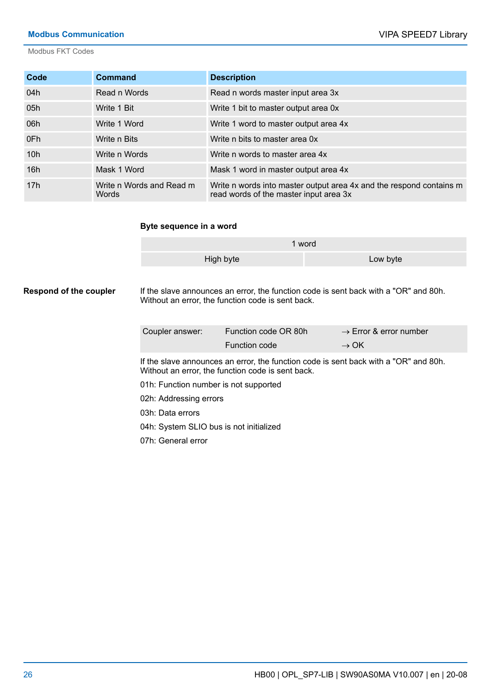#### **Modbus Communication** VIPA SPEED7 Library

Modbus FKT Codes

| Code | <b>Command</b>                    | <b>Description</b>                                                                                            |
|------|-----------------------------------|---------------------------------------------------------------------------------------------------------------|
| 04h  | Read n Words                      | Read n words master input area 3x                                                                             |
| 05h  | Write 1 Bit                       | Write 1 bit to master output area 0x                                                                          |
| 06h  | Write 1 Word                      | Write 1 word to master output area 4x                                                                         |
| 0Fh  | Write n Bits                      | Write n bits to master area 0x                                                                                |
| 10h  | Write n Words                     | Write n words to master area 4x                                                                               |
| 16h  | Mask 1 Word                       | Mask 1 word in master output area 4x                                                                          |
| 17h  | Write n Words and Read m<br>Words | Write n words into master output area 4x and the respond contains m<br>read words of the master input area 3x |

#### **Byte sequence in a word**

|           | 1 word   |
|-----------|----------|
| High byte | Low byte |

If the slave announces an error, the function code is sent back with a "OR" and 80h. Without an error, the function code is sent back. **Respond of the coupler**

| Coupler answer: | Function code OR 80h | $\rightarrow$ Error & error number |
|-----------------|----------------------|------------------------------------|
|                 | <b>Function code</b> | $\rightarrow$ OK                   |

If the slave announces an error, the function code is sent back with a "OR" and 80h. Without an error, the function code is sent back.

01h: Function number is not supported

02h: Addressing errors

03h: Data errors

04h: System SLIO bus is not initialized

07h: General error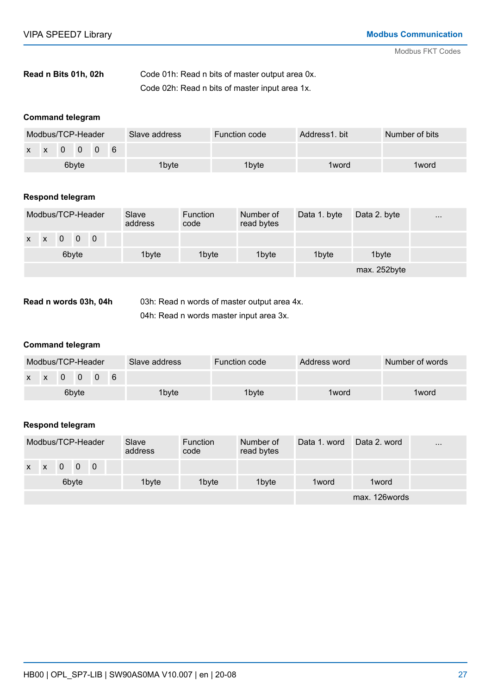| Read n Bits 01h, 02h | Code 01h: Read n bits of master output area 0x. |
|----------------------|-------------------------------------------------|
|                      | Code 02h: Read n bits of master input area 1x.  |

#### **Command telegram**

|       | Modbus/TCP-Header         |  |  |  | Slave address | Function code | Address1, bit | Number of bits |
|-------|---------------------------|--|--|--|---------------|---------------|---------------|----------------|
|       | $x \times 0 \times 0$ 0 6 |  |  |  |               |               |               |                |
| 6byte |                           |  |  |  | 1byte         | 1byte         | 1 word        | 1 word         |

#### **Respond telegram**

|       |                |  |  | Modbus/TCP-Header | Slave<br>address | <b>Function</b><br>code | Number of<br>read bytes | Data 1. byte | Data 2. byte | $\cdots$ |
|-------|----------------|--|--|-------------------|------------------|-------------------------|-------------------------|--------------|--------------|----------|
|       | $x \times 0$ 0 |  |  | $\overline{0}$    |                  |                         |                         |              |              |          |
| 6byte |                |  |  |                   | 1byte            | 1 <sub>byte</sub>       | 1 <sub>byte</sub>       | 1byte        | 1byte        |          |
|       |                |  |  |                   |                  |                         |                         |              | max. 252byte |          |

03h: Read n words of master output area 4x. 04h: Read n words master input area 3x. **Read n words 03h, 04h**

#### **Command telegram**

|       | Modbus/TCP-Header         |  |  |  |  | Slave address | Function code | Address word | Number of words |
|-------|---------------------------|--|--|--|--|---------------|---------------|--------------|-----------------|
|       | $x \times 0 \times 0$ 0 6 |  |  |  |  |               |               |              |                 |
| 6byte |                           |  |  |  |  | 1byte         | 1byte         | 1 word       | 1 word          |

#### **Respond telegram**

|              |              |                |                | Modbus/TCP-Header | Slave<br>address | <b>Function</b><br>code | Number of<br>read bytes | Data 1, word | Data 2, word  | $\cdots$ |
|--------------|--------------|----------------|----------------|-------------------|------------------|-------------------------|-------------------------|--------------|---------------|----------|
| $\mathsf{X}$ | $\mathsf{X}$ | $\overline{0}$ | $\overline{0}$ | $\overline{0}$    |                  |                         |                         |              |               |          |
| 6byte        |              |                |                |                   | 1byte            | 1byte                   | 1byte                   | 1 word       | 1word         |          |
|              |              |                |                |                   |                  |                         |                         |              | max. 126words |          |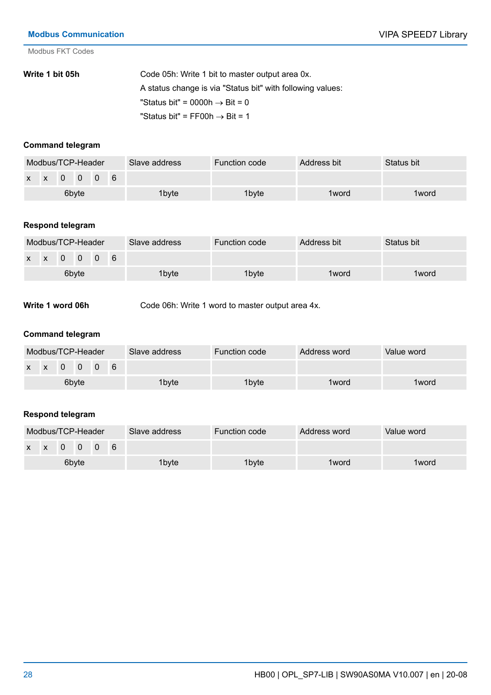Modbus FKT Codes

| Write 1 bit 05h | Code 05h: Write 1 bit to master output area 0x.            |
|-----------------|------------------------------------------------------------|
|                 | A status change is via "Status bit" with following values: |
|                 | "Status bit" = 0000h $\rightarrow$ Bit = 0                 |
|                 | "Status bit" = FF00h $\rightarrow$ Bit = 1                 |

#### **Command telegram**

|       | Modbus/TCP-Header |  |                           |  |  | Slave address | Function code | Address bit | Status bit |
|-------|-------------------|--|---------------------------|--|--|---------------|---------------|-------------|------------|
|       |                   |  | $x \times 0 \times 0$ 0 6 |  |  |               |               |             |            |
| 6byte |                   |  |                           |  |  | 1byte         | 1byte         | 1 word      | 1 word     |

#### **Respond telegram**

|       | Modbus/TCP-Header            |  |  |  | Slave address | Function code | Address bit | Status bit |
|-------|------------------------------|--|--|--|---------------|---------------|-------------|------------|
|       | $x \times 0 \times 0$<br>- 6 |  |  |  |               |               |             |            |
| 6byte |                              |  |  |  | 1byte         | 1byte         | 1 word      | 1 word     |

Code 06h: Write 1 word to master output area 4x. **Write 1 word 06h**

#### **Command telegram**

|       |             | Modbus/TCP-Header |  |  | Slave address | Function code | Address word | Value word |
|-------|-------------|-------------------|--|--|---------------|---------------|--------------|------------|
|       | x x 0 0 0 6 |                   |  |  |               |               |              |            |
| 6byte |             |                   |  |  | 1byte         | 1byte         | 1 word       | 1 word     |

### **Respond telegram**

|       | Modbus/TCP-Header                                                |  |  |  |  | Slave address | Function code | Address word | Value word |
|-------|------------------------------------------------------------------|--|--|--|--|---------------|---------------|--------------|------------|
|       | $\begin{array}{ccc} \times & \times & 0 & 0 & 0 & 6 \end{array}$ |  |  |  |  |               |               |              |            |
| 6byte |                                                                  |  |  |  |  | 1byte         | 1byte         | 1 word       | 1 word     |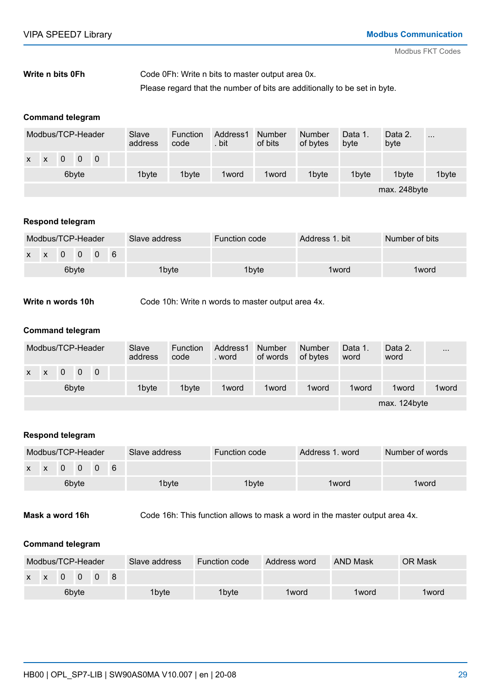#### Code 0Fh: Write n bits to master output area 0x. Please regard that the number of bits are additionally to be set in byte. **Write n bits 0Fh**

#### **Command telegram**

|              |              |                |                | Modbus/TCP-Header |  | Slave<br>address | Function<br>code | Address1<br>. bit | Number<br>of bits | <b>Number</b><br>of bytes | Data 1.<br>byte   | Data 2.<br>byte | $\cdots$ |
|--------------|--------------|----------------|----------------|-------------------|--|------------------|------------------|-------------------|-------------------|---------------------------|-------------------|-----------------|----------|
| $\mathsf{x}$ | $\mathbf{x}$ | $\overline{0}$ | $\overline{0}$ | $\overline{0}$    |  |                  |                  |                   |                   |                           |                   |                 |          |
|              | 6byte        |                |                |                   |  | 1byte            | 1byte            | 1 word            | 1 word            | 1byte                     | 1 <sub>byte</sub> | 1byte           | 1byte    |
|              |              |                |                |                   |  |                  |                  |                   |                   |                           |                   | max. 248byte    |          |

#### **Respond telegram**

|       | Modbus/TCP-Header |                                                                  |  |  |  | Slave address | Function code | Address 1, bit | Number of bits |
|-------|-------------------|------------------------------------------------------------------|--|--|--|---------------|---------------|----------------|----------------|
|       |                   | $\begin{array}{ccc} \times & \times & 0 & 0 & 0 & 6 \end{array}$ |  |  |  |               |               |                |                |
| 6byte |                   |                                                                  |  |  |  | 1byte         | 1byte         | 1 word         | 1 word         |

Code 10h: Write n words to master output area 4x. **Write n words 10h**

#### **Command telegram**

|              | Modbus/TCP-Header |                |                                     |  |  | Slave<br>address | <b>Function</b><br>code | Address1<br>. word | Number<br>of words | Number<br>of bytes | Data 1.<br>word | Data 2.<br>word | $\cdots$ |
|--------------|-------------------|----------------|-------------------------------------|--|--|------------------|-------------------------|--------------------|--------------------|--------------------|-----------------|-----------------|----------|
| $\mathsf{x}$ | $\mathsf{X}$      | $\overline{0}$ | $\begin{matrix} 0 & 0 \end{matrix}$ |  |  |                  |                         |                    |                    |                    |                 |                 |          |
|              | 6byte             |                |                                     |  |  | 1byte            | 1 <sub>bvte</sub>       | 1 word             | 1 word             | 1 word             | 1 word          | 1 word          | 1 word   |
|              |                   |                |                                     |  |  |                  |                         |                    |                    |                    |                 | max. 124byte    |          |

#### **Respond telegram**

| Modbus/TCP-Header |  |  |  |                 |  | Slave address | Function code | Address 1, word | Number of words |
|-------------------|--|--|--|-----------------|--|---------------|---------------|-----------------|-----------------|
|                   |  |  |  | $X$ $X$ 0 0 0 6 |  |               |               |                 |                 |
| 6byte             |  |  |  |                 |  | 1byte         | 1byte         | 1 word          | 1 word          |

Code 16h: This function allows to mask a word in the master output area 4x. **Mask a word 16h**

#### **Command telegram**

| Modbus/TCP-Header |  |  |  |                           | Slave address | Function code | Address word | <b>AND Mask</b> | <b>OR Mask</b> |
|-------------------|--|--|--|---------------------------|---------------|---------------|--------------|-----------------|----------------|
|                   |  |  |  | $x \times 0 \times 0$ 0 8 |               |               |              |                 |                |
| 6byte             |  |  |  |                           | 1byte         | 1byte         | 1 word       | 1 word          | 1 word         |